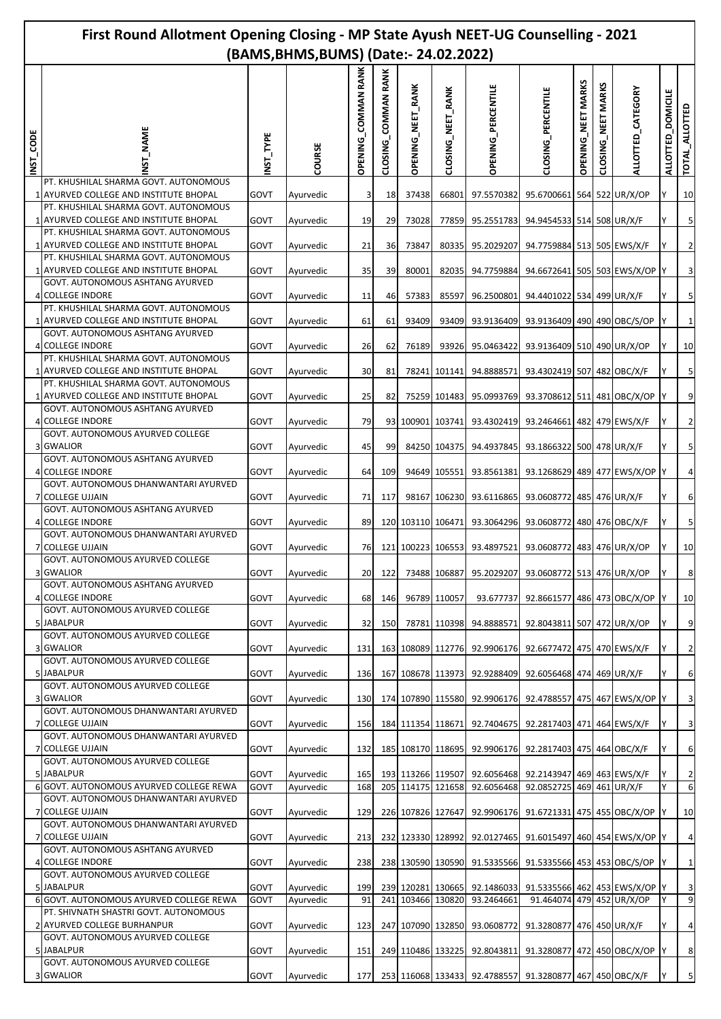|          |                                                                                 | First Round Allotment Opening Closing - MP State Ayush NEET-UG Counselling - 2021<br>(BAMS, BHMS, BUMS) (Date: - 24.02.2022) |                        |                     |                     |                          |                   |                              |                                                                                      |                           |                              |                               |                             |                         |  |
|----------|---------------------------------------------------------------------------------|------------------------------------------------------------------------------------------------------------------------------|------------------------|---------------------|---------------------|--------------------------|-------------------|------------------------------|--------------------------------------------------------------------------------------|---------------------------|------------------------------|-------------------------------|-----------------------------|-------------------------|--|
| NST_CODE | NAME                                                                            | NST_TYPE                                                                                                                     | COURSE                 | OPENING_COMMAN RANK | CLOSING_COMMAN RANK | <b>OPENING_NEET_RANK</b> | CLOSING_NEET_RANK | <b>OPENING_PERCENTILE</b>    | CLOSING_PERCENTILE                                                                   | <b>OPENING_NEET MARKS</b> | <b>MARKS</b><br>CLOSING_NEET | ALLOTTED_CATEGORY             | <b>DOMICILE</b><br>ALLOTTED | TOTAL_ALLOTTED          |  |
|          | PT. KHUSHILAL SHARMA GOVT. AUTONOMOUS<br>1 AYURVED COLLEGE AND INSTITUTE BHOPAL | GOVT                                                                                                                         | Ayurvedic              | 3                   | 18                  | 37438                    | 66801             | 97.5570382                   | 95.6700661 564 522 UR/X/OP                                                           |                           |                              |                               |                             | 10                      |  |
|          | PT. KHUSHILAL SHARMA GOVT. AUTONOMOUS<br>1 AYURVED COLLEGE AND INSTITUTE BHOPAL | GOVT                                                                                                                         | Ayurvedic              | 19                  | 29                  | 73028                    | 77859             | 95.2551783                   | 94.9454533 514 508 UR/X/F                                                            |                           |                              |                               |                             | $\overline{5}$          |  |
|          | PT. KHUSHILAL SHARMA GOVT. AUTONOMOUS                                           |                                                                                                                              |                        |                     |                     |                          |                   |                              |                                                                                      |                           |                              |                               |                             |                         |  |
|          | 1 AYURVED COLLEGE AND INSTITUTE BHOPAL<br>PT. KHUSHILAL SHARMA GOVT. AUTONOMOUS | GOVT                                                                                                                         | Ayurvedic              | 21                  | 36                  | 73847                    | 80335             | 95.2029207                   | 94.7759884 513 505 EWS/X/F                                                           |                           |                              |                               |                             | $\mathbf{2}$            |  |
|          | 1 AYURVED COLLEGE AND INSTITUTE BHOPAL<br>GOVT. AUTONOMOUS ASHTANG AYURVED      | GOVT                                                                                                                         | Ayurvedic              | 35                  | 39                  | 80001                    | 82035             | 94.7759884                   |                                                                                      |                           |                              | 94.6672641 505 503 EWS/X/OP Y |                             | $\overline{\mathbf{3}}$ |  |
|          | 4 COLLEGE INDORE                                                                | GOVT                                                                                                                         | Ayurvedic              | 11                  | 46                  | 57383                    | 85597             | 96.2500801                   | 94.4401022 534 499 UR/X/F                                                            |                           |                              |                               |                             | $\overline{\mathbf{5}}$ |  |
|          | PT. KHUSHILAL SHARMA GOVT. AUTONOMOUS<br>1 AYURVED COLLEGE AND INSTITUTE BHOPAL | GOVT                                                                                                                         | Ayurvedic              | 61                  | 61                  | 93409                    | 93409             | 93.9136409                   | 93.9136409 490 490 OBC/S/OP                                                          |                           |                              |                               |                             | $1\vert$                |  |
|          | GOVT. AUTONOMOUS ASHTANG AYURVED                                                |                                                                                                                              |                        |                     |                     |                          |                   |                              |                                                                                      |                           |                              |                               |                             |                         |  |
|          | 4 COLLEGE INDORE<br>PT. KHUSHILAL SHARMA GOVT. AUTONOMOUS                       | GOVT                                                                                                                         | Ayurvedic              | 26                  | 62                  | 76189                    | 93926             | 95.0463422                   | 93.9136409 510 490 UR/X/OP                                                           |                           |                              |                               |                             | 10                      |  |
|          | 1 AYURVED COLLEGE AND INSTITUTE BHOPAL<br>PT. KHUSHILAL SHARMA GOVT. AUTONOMOUS | GOVT                                                                                                                         | Ayurvedic              | 30                  | 81                  |                          | 78241 101141      | 94.8888571                   | 93.4302419 507 482 OBC/X/F                                                           |                           |                              |                               |                             | 5 <sub>l</sub>          |  |
|          | 1 AYURVED COLLEGE AND INSTITUTE BHOPAL                                          | GOVT                                                                                                                         | Ayurvedic              | 25                  | 82                  |                          |                   | 75259 101483 95.0993769      | 93.3708612 511 481 OBC/X/OP                                                          |                           |                              |                               |                             | 9                       |  |
|          | GOVT. AUTONOMOUS ASHTANG AYURVED<br>4 COLLEGE INDORE                            | GOVT                                                                                                                         | Ayurvedic              | 79                  |                     |                          |                   | 93 100901 103741 93.4302419  | 93.2464661 482 479 EWS/X/F                                                           |                           |                              |                               |                             | $\overline{2}$          |  |
|          | GOVT. AUTONOMOUS AYURVED COLLEGE                                                |                                                                                                                              |                        |                     |                     |                          |                   |                              |                                                                                      |                           |                              |                               |                             |                         |  |
|          | 3 GWALIOR<br>GOVT. AUTONOMOUS ASHTANG AYURVED                                   | GOVT                                                                                                                         | Ayurvedic              | 45                  | 99                  |                          |                   | 84250 104375 94.4937845      | 93.1866322 500 478 UR/X/F                                                            |                           |                              |                               |                             | 5 <sub>l</sub>          |  |
|          | 4 COLLEGE INDORE<br>GOVT. AUTONOMOUS DHANWANTARI AYURVED                        | GOVT                                                                                                                         | Ayurvedic              | 64                  | 109                 |                          | 94649 105551      | 93.8561381                   |                                                                                      |                           |                              | 93.1268629 489 477 EWS/X/OP Y |                             | $\overline{4}$          |  |
|          | 7 COLLEGE UJJAIN                                                                | GOVT                                                                                                                         | Ayurvedic              | 71                  | 117                 |                          |                   | 98167 106230 93.6116865      | 93.0608772 485 476 UR/X/F                                                            |                           |                              |                               |                             | $6 \overline{6}$        |  |
|          | GOVT. AUTONOMOUS ASHTANG AYURVED<br>4 COLLEGE INDORE                            | GOVT                                                                                                                         | Ayurvedic              | 89                  |                     | 120 103110 106471        |                   | 93.3064296                   | 93.0608772 480 476 OBC/X/F                                                           |                           |                              |                               |                             | 5 <sub>l</sub>          |  |
|          | GOVT. AUTONOMOUS DHANWANTARI AYURVED                                            |                                                                                                                              |                        |                     |                     |                          |                   |                              |                                                                                      |                           |                              |                               |                             |                         |  |
|          | 7 COLLEGE UJJAIN<br>GOVT. AUTONOMOUS AYURVED COLLEGE                            | GOVT                                                                                                                         | Ayurvedic              | 76                  |                     |                          |                   | 121 100223 106553 93.4897521 | 93.0608772 483 476 UR/X/OP                                                           |                           |                              |                               |                             | 10                      |  |
|          | <b>3 GWALIOR</b><br><b>GOVT. AUTONOMOUS ASHTANG AYURVED</b>                     | GOVT                                                                                                                         | Ayurvedic              | 20                  | 122                 |                          |                   |                              | 73488 106887 95.2029207 93.0608772 513 476 UR/X/OP                                   |                           |                              |                               | I٢                          | $\bf 8$                 |  |
|          | <b>4 COLLEGE INDORE</b>                                                         | GOVT                                                                                                                         | Ayurvedic              | 68                  | 146                 |                          | 96789 110057      | 93.677737                    | 92.8661577 486 473 OBC/X/OP                                                          |                           |                              |                               |                             | 10                      |  |
|          | GOVT. AUTONOMOUS AYURVED COLLEGE<br>5 JABALPUR                                  | GOVT                                                                                                                         | Ayurvedic              | 32                  | 150                 |                          | 78781 110398      | 94.8888571                   | 92.8043811 507 472 UR/X/OP                                                           |                           |                              |                               |                             | $\overline{9}$          |  |
|          | GOVT. AUTONOMOUS AYURVED COLLEGE<br><b>3 GWALIOR</b>                            |                                                                                                                              |                        |                     |                     |                          |                   |                              |                                                                                      |                           |                              |                               | Y                           | $\overline{2}$          |  |
|          | GOVT. AUTONOMOUS AYURVED COLLEGE                                                | GOVT                                                                                                                         | Ayurvedic              | 131                 |                     |                          |                   | 163 108089 112776 92.9906176 | 92.6677472 475 470 EWS/X/F                                                           |                           |                              |                               |                             |                         |  |
|          | 5 JABALPUR<br><b>GOVT. AUTONOMOUS AYURVED COLLEGE</b>                           | GOVT                                                                                                                         | Ayurvedic              | 136                 |                     |                          |                   | 167 108678 113973 92.9288409 | 92.6056468 474 469 UR/X/F                                                            |                           |                              |                               |                             | $6 \overline{6}$        |  |
|          | 3 GWALIOR                                                                       | GOVT                                                                                                                         | Ayurvedic              | 130                 |                     |                          |                   | 174 107890 115580 92.9906176 | 92.4788557 475 467 EWS/X/OP Y                                                        |                           |                              |                               |                             | $\overline{\mathbf{3}}$ |  |
|          | GOVT. AUTONOMOUS DHANWANTARI AYURVED<br>7 COLLEGE UJJAIN                        | GOVT                                                                                                                         | Ayurvedic              | 156                 |                     |                          |                   |                              | 184 111354 118671 92.7404675 92.2817403 471 464 EWS/X/F                              |                           |                              |                               |                             | $\overline{\mathbf{3}}$ |  |
|          | GOVT. AUTONOMOUS DHANWANTARI AYURVED<br>7 COLLEGE UJJAIN                        | GOVT                                                                                                                         | Ayurvedic              | 132                 |                     |                          |                   | 185 108170 118695 92.9906176 | 92.2817403 475 464 OBC/X/F                                                           |                           |                              |                               | Y                           | $6\overline{6}$         |  |
|          | GOVT. AUTONOMOUS AYURVED COLLEGE                                                |                                                                                                                              |                        |                     |                     |                          |                   |                              |                                                                                      |                           |                              |                               |                             |                         |  |
|          | 5 JABALPUR<br>6 GOVT. AUTONOMOUS AYURVED COLLEGE REWA                           | GOVT<br>GOVT                                                                                                                 | Ayurvedic<br>Ayurvedic | 165<br>168          |                     |                          |                   | 205 114175 121658 92.6056468 | 193 113266 119507 92.6056468 92.2143947 469 463 EWS/X/F<br>92.0852725 469 461 UR/X/F |                           |                              |                               | Y                           | $\overline{2}$<br>6     |  |
|          | GOVT. AUTONOMOUS DHANWANTARI AYURVED                                            |                                                                                                                              |                        |                     |                     |                          |                   |                              |                                                                                      |                           |                              |                               |                             |                         |  |
|          | 7 COLLEGE UJJAIN<br>GOVT. AUTONOMOUS DHANWANTARI AYURVED                        | GOVT                                                                                                                         | Ayurvedic              | 129                 |                     | 226 107826 127647        |                   | 92.9906176                   | 91.6721331 475 455 OBC/X/OP                                                          |                           |                              |                               |                             | 10                      |  |
|          | 7 COLLEGE UJJAIN<br>GOVT. AUTONOMOUS ASHTANG AYURVED                            | GOVT                                                                                                                         | Ayurvedic              | 213                 |                     |                          |                   | 232 123330 128992 92.0127465 | 91.6015497 460 454 EWS/X/OP Y                                                        |                           |                              |                               |                             | $\overline{a}$          |  |
|          | 4 COLLEGE INDORE                                                                | GOVT                                                                                                                         | Ayurvedic              | 238                 |                     |                          |                   | 238 130590 130590 91.5335566 | 91.5335566 453 453 OBC/S/OP                                                          |                           |                              |                               |                             | $\mathbf{1}$            |  |
|          | GOVT. AUTONOMOUS AYURVED COLLEGE<br>5 JABALPUR                                  | GOVT                                                                                                                         | Ayurvedic              | 199                 |                     |                          |                   | 239 120281 130665 92.1486033 | 91.5335566 462 453 EWS/X/OP Y                                                        |                           |                              |                               |                             | $\overline{3}$          |  |
|          | 6 GOVT. AUTONOMOUS AYURVED COLLEGE REWA                                         | GOVT                                                                                                                         | Ayurvedic              | 91                  |                     | 241 103466 130820        |                   | 93.2464661                   | 91.464074 479 452 UR/X/OP                                                            |                           |                              |                               |                             | 9                       |  |
|          | PT. SHIVNATH SHASTRI GOVT. AUTONOMOUS<br>2 AYURVED COLLEGE BURHANPUR            | GOVT                                                                                                                         | Ayurvedic              | 123                 |                     |                          |                   | 247 107090 132850 93.0608772 | 91.3280877 476 450 UR/X/F                                                            |                           |                              |                               |                             | $\overline{a}$          |  |
|          | GOVT. AUTONOMOUS AYURVED COLLEGE<br>5 JABALPUR                                  | GOVT                                                                                                                         | Ayurvedic              | 151                 |                     |                          |                   | 249 110486 133225 92.8043811 | 91.3280877 472 450 OBC/X/OP Y                                                        |                           |                              |                               |                             | $\bf 8$                 |  |
|          | GOVT. AUTONOMOUS AYURVED COLLEGE                                                |                                                                                                                              |                        |                     |                     |                          |                   |                              |                                                                                      |                           |                              |                               |                             | $\overline{5}$          |  |
|          | 3 GWALIOR                                                                       | GOVT                                                                                                                         | Ayurvedic              | 177                 |                     |                          |                   |                              | 253 116068 133433 92.4788557 91.3280877 467 450 OBC/X/F                              |                           |                              |                               |                             |                         |  |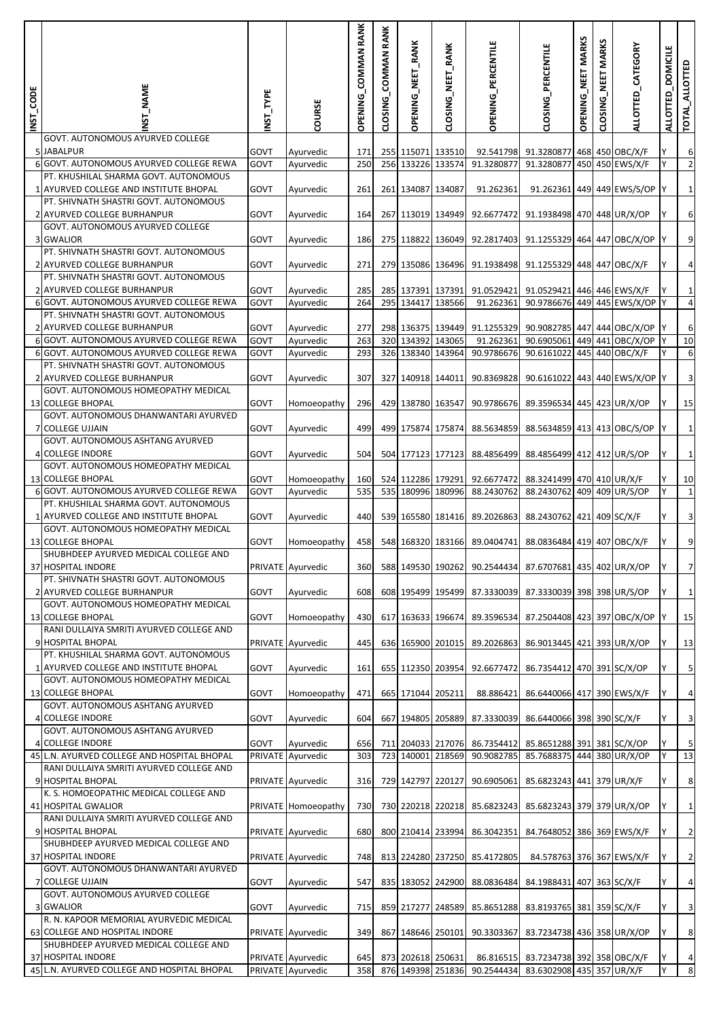| INST_CODE | NST_NAME                                                                        | INST_TYPE    | COURSE                         | COMMAN RANK<br><b>OPENING</b> | CLOSING_COMMAN RANK | OPENING_NEET_RANK                      | CLOSING_NEET_RANK | OPENING_PERCENTILE                                                    | CLOSING_PERCENTILE                                             | OPENING_NEET MARKS | <b>MARKS</b><br>MET<br>CLOSING | ALLOTTED_CATEGORY            | <b>DOMICILE</b><br><b>ALLOTTED</b> | TOTAL_ALLOTTED          |
|-----------|---------------------------------------------------------------------------------|--------------|--------------------------------|-------------------------------|---------------------|----------------------------------------|-------------------|-----------------------------------------------------------------------|----------------------------------------------------------------|--------------------|--------------------------------|------------------------------|------------------------------------|-------------------------|
|           | GOVT. AUTONOMOUS AYURVED COLLEGE<br>5 JABALPUR                                  | GOVT         |                                | 171                           |                     | 255 115071 133510                      |                   |                                                                       | 92.541798 91.3280877 468 450 OBC/X/F                           |                    |                                |                              |                                    | 6                       |
|           | 6 GOVT. AUTONOMOUS AYURVED COLLEGE REWA                                         | GOVT         | Ayurvedic<br>Ayurvedic         | 250                           |                     | 256 133226 133574                      |                   | 91.3280877                                                            | 91.3280877 450 450 EWS/X/F                                     |                    |                                |                              |                                    | $\overline{2}$          |
|           | PT. KHUSHILAL SHARMA GOVT. AUTONOMOUS                                           |              |                                |                               |                     |                                        |                   |                                                                       |                                                                |                    |                                |                              |                                    |                         |
|           | 1 AYURVED COLLEGE AND INSTITUTE BHOPAL<br>PT. SHIVNATH SHASTRI GOVT. AUTONOMOUS | GOVT         | Ayurvedic                      | 261                           | 261                 | 134087 134087                          |                   | 91.262361                                                             |                                                                |                    |                                | 91.262361 449 449 EWS/S/OP Y |                                    | $\mathbf{1}$            |
|           | 2 AYURVED COLLEGE BURHANPUR<br>GOVT. AUTONOMOUS AYURVED COLLEGE                 | GOVT         | Ayurvedic                      | 164                           | 267                 |                                        | 113019 134949     | 92.6677472                                                            | 91.1938498 470 448 UR/X/OP                                     |                    |                                |                              | ΙY                                 | 6                       |
|           | 3 GWALIOR                                                                       | GOVT         | Ayurvedic                      | 186                           |                     | 275 118822 136049                      |                   | 92.2817403                                                            | 91.1255329 464 447 OBC/X/OP Y                                  |                    |                                |                              |                                    | 9                       |
|           | PT. SHIVNATH SHASTRI GOVT. AUTONOMOUS<br>2 AYURVED COLLEGE BURHANPUR            | GOVT         | Ayurvedic                      | 271                           |                     | 279 135086 136496                      |                   | 91.1938498                                                            | 91.1255329 448 447 OBC/X/F                                     |                    |                                |                              | ΙY                                 | $\sqrt{4}$              |
|           | PT. SHIVNATH SHASTRI GOVT. AUTONOMOUS<br>2 AYURVED COLLEGE BURHANPUR            | GOVT         | Ayurvedic                      | 285                           |                     | 285 137391 137391                      |                   | 91.0529421                                                            | 91.0529421 446 446 EWS/X/F                                     |                    |                                |                              |                                    | $\mathbf{1}$            |
|           | 6 GOVT. AUTONOMOUS AYURVED COLLEGE REWA                                         | GOVT         | Ayurvedic                      | 264                           |                     | 295 134417 138566                      |                   | 91.262361                                                             | 90.9786676 449 445 EWS/X/OP Y                                  |                    |                                |                              |                                    | $\overline{a}$          |
|           | PT. SHIVNATH SHASTRI GOVT. AUTONOMOUS                                           |              |                                |                               |                     |                                        |                   |                                                                       |                                                                |                    |                                |                              |                                    |                         |
|           | 2 AYURVED COLLEGE BURHANPUR<br>6 GOVT. AUTONOMOUS AYURVED COLLEGE REWA          | GOVT<br>GOVT | Ayurvedic<br>Ayurvedic         | 277<br>263                    |                     | 298 136375 139449<br>320 134392 143065 |                   | 91.1255329<br>91.262361                                               | 90.9082785 447 444 OBC/X/OP Y<br>90.6905061 449 441 OBC/X/OP Y |                    |                                |                              |                                    | 6<br>10                 |
|           | 6 GOVT. AUTONOMOUS AYURVED COLLEGE REWA                                         | GOVT         | Ayurvedic                      | 293                           |                     | 326 138340 143964                      |                   | 90.9786676                                                            | 90.6161022                                                     |                    |                                | 445 440 OBC/X/F              | ΙY                                 | $\,$ 6                  |
|           | PT. SHIVNATH SHASTRI GOVT. AUTONOMOUS<br>2 AYURVED COLLEGE BURHANPUR            | GOVT         | Ayurvedic                      | 307                           |                     | 327 140918 144011                      |                   | 90.8369828                                                            | 90.6161022 443 440 EWS/X/OP Y                                  |                    |                                |                              |                                    | 3                       |
|           | GOVT. AUTONOMOUS HOMEOPATHY MEDICAL<br>13 COLLEGE BHOPAL                        | GOVT         | Homoeopathy                    | 296                           |                     | 429 138780 163547                      |                   | 90.9786676                                                            | 89.3596534 445 423 UR/X/OP                                     |                    |                                |                              | lΥ                                 | 15                      |
|           | GOVT. AUTONOMOUS DHANWANTARI AYURVED<br>7 COLLEGE UJJAIN                        | GOVT         | Ayurvedic                      | 499                           |                     | 499 175874 175874                      |                   | 88.5634859                                                            | 88.5634859 413 413 OBC/S/OP                                    |                    |                                |                              |                                    | $\mathbf 1$             |
|           | GOVT. AUTONOMOUS ASHTANG AYURVED                                                |              |                                |                               |                     |                                        |                   |                                                                       |                                                                |                    |                                |                              |                                    |                         |
|           | 4 COLLEGE INDORE<br>GOVT. AUTONOMOUS HOMEOPATHY MEDICAL                         | GOVT         | Ayurvedic                      | 504                           |                     | 504 177123 177123                      |                   | 88.4856499                                                            | 88.4856499 412 412 UR/S/OP                                     |                    |                                |                              | ΙY                                 | $\mathbf 1$             |
|           | 13 COLLEGE BHOPAL                                                               | GOVT         | Homoeopathy                    | 160                           |                     | 524 112286 179291                      |                   | 92.6677472                                                            | 88.3241499 470 410 UR/X/F                                      |                    |                                |                              |                                    | 10                      |
|           | 6 GOVT. AUTONOMOUS AYURVED COLLEGE REWA                                         | GOVT         | Ayurvedic                      | 535                           |                     | 535 180996 180996                      |                   | 88.2430762                                                            | 88.2430762 409 409 UR/S/OP                                     |                    |                                |                              | lY.                                | $\mathbf{1}$            |
|           | PT. KHUSHILAL SHARMA GOVT. AUTONOMOUS<br>1 AYURVED COLLEGE AND INSTITUTE BHOPAL | GOVT         | Ayurvedic                      | 440                           |                     | 539 165580 181416                      |                   | 89.2026863                                                            | 88.2430762 421 409 SC/X/F                                      |                    |                                |                              | Υ                                  | 3                       |
|           | GOVT. AUTONOMOUS HOMEOPATHY MEDICAL                                             |              |                                |                               |                     |                                        |                   |                                                                       |                                                                |                    |                                |                              |                                    |                         |
|           | <b>13 COLLEGE BHOPAL</b><br>SHUBHDEEP AYURVED MEDICAL COLLEGE AND               | GOVT         | Homoeopathy                    | 458                           |                     | 548 168320 183166                      |                   | 89.0404741                                                            | 88.0836484 419 407 OBC/X/F                                     |                    |                                |                              |                                    | 9                       |
|           | 37 HOSPITAL INDORE                                                              |              | PRIVATE Ayurvedic              |                               |                     |                                        |                   | 360  588  149530  190262  90.2544434  87.6707681  435  402  UR/X/OP   |                                                                |                    |                                |                              |                                    | 7                       |
|           | PT. SHIVNATH SHASTRI GOVT. AUTONOMOUS<br>2 AYURVED COLLEGE BURHANPUR            | GOVT         | Ayurvedic                      | 608                           |                     | 608 195499 195499                      |                   |                                                                       | 87.3330039 87.3330039 398 398 UR/S/OP                          |                    |                                |                              | IY.                                | $\mathbf{1}$            |
|           | GOVT. AUTONOMOUS HOMEOPATHY MEDICAL<br>13 COLLEGE BHOPAL                        | GOVT         | Homoeopathy                    | 430                           |                     | 617 163633 196674                      |                   | 89.3596534                                                            | 87.2504408 423 397 OBC/X/OP Y                                  |                    |                                |                              |                                    | 15                      |
|           | RANI DULLAIYA SMRITI AYURVED COLLEGE AND                                        |              |                                |                               |                     |                                        |                   |                                                                       |                                                                |                    |                                |                              |                                    |                         |
|           | 9 HOSPITAL BHOPAL<br>PT. KHUSHILAL SHARMA GOVT. AUTONOMOUS                      |              | PRIVATE Ayurvedic              | 445                           |                     | 636 165900 201015                      |                   | 89.2026863                                                            | 86.9013445 421 393 UR/X/OP                                     |                    |                                |                              | ΙY                                 | 13                      |
|           | 1 AYURVED COLLEGE AND INSTITUTE BHOPAL                                          | GOVT         | Ayurvedic                      | 161                           |                     | 655 112350 203954                      |                   | 92.6677472                                                            | 86.7354412 470 391 SC/X/OP                                     |                    |                                |                              | Y                                  | $\overline{5}$          |
|           | GOVT. AUTONOMOUS HOMEOPATHY MEDICAL<br>13 COLLEGE BHOPAL                        | GOVT         | Homoeopathy                    | 471                           |                     | 665 171044 205211                      |                   | 88.886421                                                             | 86.6440066 417 390 EWS/X/F                                     |                    |                                |                              | lY.                                | $\overline{a}$          |
|           | GOVT. AUTONOMOUS ASHTANG AYURVED<br>4 COLLEGE INDORE                            | GOVT         | Ayurvedic                      | 604                           | 667                 |                                        | 194805 205889     | 87.3330039                                                            | 86.6440066 398 390 SC/X/F                                      |                    |                                |                              | Υ                                  | $\overline{\mathbf{3}}$ |
|           | GOVT. AUTONOMOUS ASHTANG AYURVED                                                |              |                                |                               |                     |                                        |                   |                                                                       |                                                                |                    |                                |                              |                                    | 5                       |
|           | 4 COLLEGE INDORE<br>45 L.N. AYURVED COLLEGE AND HOSPITAL BHOPAL                 | GOVT         | Ayurvedic<br>PRIVATE Ayurvedic | 656<br>303                    | 723                 | 140001 218569                          |                   | 711 204033 217076 86.7354412 85.8651288 391 381 SC/X/OP<br>90.9082785 | 85.7688375 444 380 UR/X/OP                                     |                    |                                |                              | Y<br>Y                             | 13                      |
|           | RANI DULLAIYA SMRITI AYURVED COLLEGE AND                                        |              |                                |                               |                     |                                        |                   |                                                                       |                                                                |                    |                                |                              |                                    |                         |
|           | 9 HOSPITAL BHOPAL                                                               |              | PRIVATE Ayurvedic              | 316                           | 729                 | 142797 220127                          |                   | 90.6905061                                                            | 85.6823243 441 379 UR/X/F                                      |                    |                                |                              | Y                                  | 8                       |
|           | K. S. HOMOEOPATHIC MEDICAL COLLEGE AND<br>41 HOSPITAL GWALIOR                   |              | PRIVATE Homoeopathy            | 730                           |                     | 730 220218 220218                      |                   | 85.6823243                                                            | 85.6823243 379 379 UR/X/OP                                     |                    |                                |                              | lΥ                                 | $\mathbf 1$             |
|           | RANI DULLAIYA SMRITI AYURVED COLLEGE AND<br>9 HOSPITAL BHOPAL                   |              | PRIVATE Ayurvedic              | 680                           |                     | 800 210414 233994                      |                   | 86.3042351                                                            | 84.7648052 386 369 EWS/X/F                                     |                    |                                |                              | lY.                                | $\overline{2}$          |
|           | SHUBHDEEP AYURVED MEDICAL COLLEGE AND<br>37 HOSPITAL INDORE                     |              | PRIVATE Ayurvedic              | 748                           |                     | 813 224280 237250                      |                   | 85.4172805                                                            | 84.578763 376 367 EWS/X/F                                      |                    |                                |                              | Y                                  | $\overline{2}$          |
|           | GOVT. AUTONOMOUS DHANWANTARI AYURVED<br>7 COLLEGE UJJAIN                        | GOVT         | Ayurvedic                      | 547                           |                     |                                        |                   | 835 183052 242900 88.0836484                                          | 84.1988431 407 363 SC/X/F                                      |                    |                                |                              | Y                                  | $\overline{a}$          |
|           | GOVT. AUTONOMOUS AYURVED COLLEGE                                                |              |                                |                               |                     |                                        |                   |                                                                       |                                                                |                    |                                |                              |                                    |                         |
|           | 3 GWALIOR<br>R. N. KAPOOR MEMORIAL AYURVEDIC MEDICAL                            | GOVT         | Ayurvedic                      | 715                           |                     | 859 217277 248589                      |                   | 85.8651288                                                            | 83.8193765 381 359 SC/X/F                                      |                    |                                |                              | Υ                                  | $\overline{\mathbf{3}}$ |
|           | 63 COLLEGE AND HOSPITAL INDORE<br>SHUBHDEEP AYURVED MEDICAL COLLEGE AND         |              | PRIVATE Ayurvedic              | 349                           | 867                 |                                        | 148646 250101     | 90.3303367                                                            | 83.7234738 436 358 UR/X/OP                                     |                    |                                |                              | lY.                                | 8                       |
|           | 37 HOSPITAL INDORE                                                              |              | PRIVATE Ayurvedic              | 645                           |                     | 873 202618 250631                      |                   |                                                                       | 86.816515 83.7234738 392 358 OBC/X/F                           |                    |                                |                              |                                    | $\overline{a}$          |
|           | 45 L.N. AYURVED COLLEGE AND HOSPITAL BHOPAL                                     |              | PRIVATE Ayurvedic              | 358                           |                     |                                        |                   | 876 149398 251836 90.2544434 83.6302908 435 357 UR/X/F                |                                                                |                    |                                |                              | Y                                  | 8                       |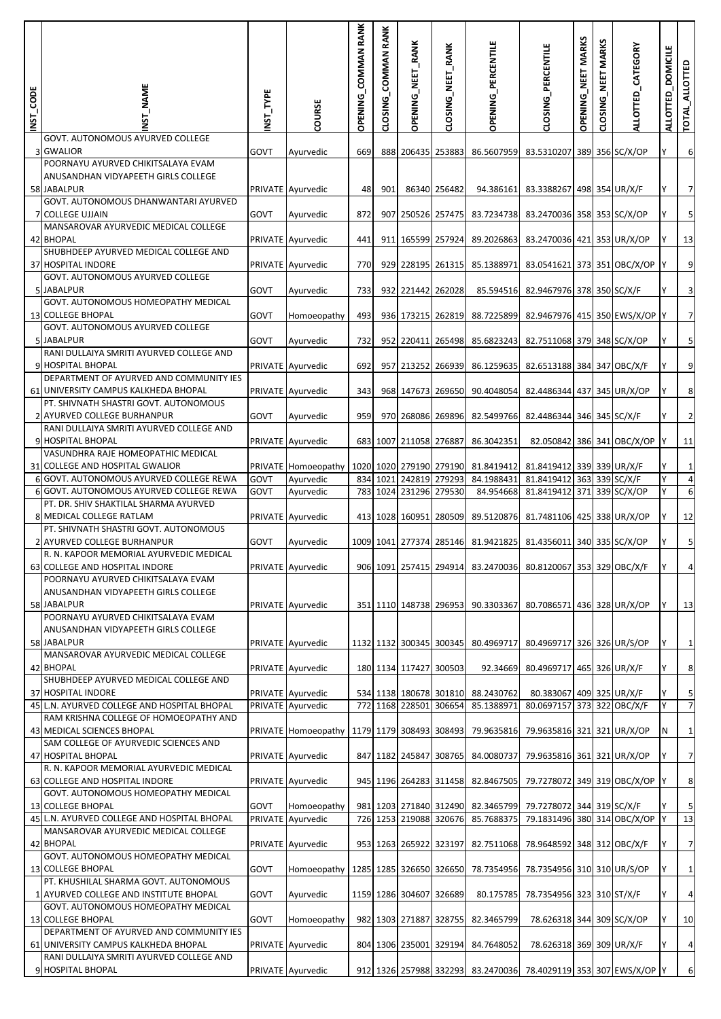| INST_CODE | _NAME                                                                           | INST_TYPE | COURSE                                                                                              | OPENING_COMMAN RANK | CLOSING_COMMAN RANK | OPENING_NEET_RANK       | CLOSING_NEET_RANK | OPENING_PERCENTILE                 | CLOSING_PERCENTILE                                              | OPENING_NEET MARKS | NEET MARKS<br>CLOSING | ALLOTTED_CATEGORY | <b>DOMICILE</b><br>ALLOTTED | TOTAL_ALLOTT            |
|-----------|---------------------------------------------------------------------------------|-----------|-----------------------------------------------------------------------------------------------------|---------------------|---------------------|-------------------------|-------------------|------------------------------------|-----------------------------------------------------------------|--------------------|-----------------------|-------------------|-----------------------------|-------------------------|
|           | GOVT. AUTONOMOUS AYURVED COLLEGE<br>3 GWALIOR                                   | GOVT      | Ayurvedic                                                                                           | 669                 |                     | 888 206435 253883       |                   |                                    | 86.5607959 83.5310207 389 356 SC/X/OP                           |                    |                       |                   |                             | 6                       |
|           | POORNAYU AYURVED CHIKITSALAYA EVAM                                              |           |                                                                                                     |                     |                     |                         |                   |                                    |                                                                 |                    |                       |                   |                             |                         |
|           | ANUSANDHAN VIDYAPEETH GIRLS COLLEGE<br>58 JABALPUR                              |           | PRIVATE Ayurvedic                                                                                   | 48                  | 901                 |                         | 86340 256482      |                                    | 94.386161 83.3388267 498 354 UR/X/F                             |                    |                       |                   |                             | $7 \,$                  |
|           | GOVT. AUTONOMOUS DHANWANTARI AYURVED<br>7 COLLEGE UJJAIN                        | GOVT      | Ayurvedic                                                                                           | 872                 |                     | 907 250526 257475       |                   |                                    | 83.7234738 83.2470036 358 353 SC/X/OP                           |                    |                       |                   |                             | 5                       |
|           | MANSAROVAR AYURVEDIC MEDICAL COLLEGE<br>42 BHOPAL                               |           | PRIVATE Ayurvedic                                                                                   | 441                 |                     | 911 165599 257924       |                   | 89.2026863                         | 83.2470036 421 353 UR/X/OP                                      |                    |                       |                   |                             | 13                      |
|           | SHUBHDEEP AYURVED MEDICAL COLLEGE AND<br>37 HOSPITAL INDORE                     |           | PRIVATE Ayurvedic                                                                                   | 770                 |                     | 929 228195 261315       |                   | 85.1388971                         | 83.0541621 373 351 OBC/X/OP                                     |                    |                       |                   |                             | 9                       |
|           | GOVT. AUTONOMOUS AYURVED COLLEGE<br>5 JABALPUR                                  | GOVT      | Ayurvedic                                                                                           | 733                 |                     | 932 221442 262028       |                   |                                    | 85.594516 82.9467976 378 350 SC/X/F                             |                    |                       |                   |                             | $\overline{\mathbf{3}}$ |
|           | GOVT. AUTONOMOUS HOMEOPATHY MEDICAL                                             |           |                                                                                                     |                     |                     |                         |                   |                                    |                                                                 |                    |                       |                   |                             |                         |
|           | 13 COLLEGE BHOPAL<br>GOVT. AUTONOMOUS AYURVED COLLEGE                           | GOVT      | Homoeopathy                                                                                         | 493                 |                     | 936 173215 262819       |                   | 88.7225899                         | 82.9467976 415 350 EWS/X/OP Y                                   |                    |                       |                   |                             | 7                       |
|           | 5 JABALPUR<br>RANI DULLAIYA SMRITI AYURVED COLLEGE AND                          | GOVT      | Ayurvedic                                                                                           | 732                 |                     | 952 220411 265498       |                   | 85.6823243                         | 82.7511068 379 348 SC/X/OP                                      |                    |                       |                   |                             | 5                       |
|           | 9 HOSPITAL BHOPAL                                                               |           | PRIVATE Ayurvedic                                                                                   | 692                 |                     | 957 213252 266939       |                   | 86.1259635                         | 82.6513188 384 347 OBC/X/F                                      |                    |                       |                   |                             | 9                       |
|           | DEPARTMENT OF AYURVED AND COMMUNITY IES<br>61 UNIVERSITY CAMPUS KALKHEDA BHOPAL |           | PRIVATE Ayurvedic                                                                                   | 343                 |                     |                         |                   |                                    | 968 147673 269650 90.4048054 82.4486344 437 345 UR/X/OP         |                    |                       |                   |                             | 8 <sup>°</sup>          |
|           | PT. SHIVNATH SHASTRI GOVT. AUTONOMOUS<br>2 AYURVED COLLEGE BURHANPUR            | GOVT      | Ayurvedic                                                                                           | 959                 |                     | 970 268086 269896       |                   | 82.5499766                         | 82.4486344 346 345 SC/X/F                                       |                    |                       |                   |                             | $\overline{2}$          |
|           | RANI DULLAIYA SMRITI AYURVED COLLEGE AND<br>9 HOSPITAL BHOPAL                   |           | PRIVATE Ayurvedic                                                                                   |                     |                     | 683 1007 211058 276887  |                   | 86.3042351                         | 82.050842 386 341 OBC/X/OP                                      |                    |                       |                   |                             | 11                      |
|           | VASUNDHRA RAJE HOMEOPATHIC MEDICAL                                              |           |                                                                                                     |                     |                     |                         |                   |                                    |                                                                 |                    |                       |                   |                             |                         |
|           | 31 COLLEGE AND HOSPITAL GWALIOR                                                 |           | PRIVATE Homoeopathy                                                                                 |                     |                     | 1020 1020 279190 279190 |                   | 81.8419412                         | 81.8419412 339 339 UR/X/F                                       |                    |                       |                   |                             | $1\vert$                |
|           | 6 GOVT. AUTONOMOUS AYURVED COLLEGE REWA                                         | GOVT      | Ayurvedic                                                                                           |                     | 834 1021            |                         | 242819 279293     | 84.1988431                         | 81.8419412 363 339 SC/X/F                                       |                    |                       |                   | Y                           | $\overline{4}$          |
|           | 6 GOVT. AUTONOMOUS AYURVED COLLEGE REWA                                         | GOVT      | Ayurvedic                                                                                           |                     |                     | 783 1024 231296 279530  |                   | 84.954668                          | 81.8419412 371 339 SC/X/OP                                      |                    |                       |                   |                             | $\sqrt{6}$              |
|           | PT. DR. SHIV SHAKTILAL SHARMA AYURVED<br>8 MEDICAL COLLEGE RATLAM               |           |                                                                                                     |                     |                     |                         |                   |                                    |                                                                 |                    |                       |                   |                             |                         |
|           | PT. SHIVNATH SHASTRI GOVT. AUTONOMOUS                                           |           | PRIVATE Ayurvedic                                                                                   |                     |                     | 413 1028 160951 280509  |                   | 89.5120876                         | 81.7481106 425 338 UR/X/OP                                      |                    |                       |                   | Y                           | 12                      |
|           | 2 AYURVED COLLEGE BURHANPUR<br>R. N. KAPOOR MEMORIAL AYURVEDIC MEDICAL          | GOVT      | Ayurvedic                                                                                           |                     |                     |                         |                   | 1009 1041 277374 285146 81.9421825 | 81.4356011 340 335 SC/X/OP                                      |                    |                       |                   |                             | $\overline{\mathbf{5}}$ |
|           | 63 COLLEGE AND HOSPITAL INDORE                                                  |           | <b>PRIVATE</b> Ayurvedic                                                                            |                     |                     |                         |                   |                                    | 906 1091 257415 294914 83.2470036 80.8120067 353 329 OBC/X/F    |                    |                       |                   |                             | 4                       |
|           | POORNAYU AYURVED CHIKITSALAYA EVAM<br>ANUSANDHAN VIDYAPEETH GIRLS COLLEGE       |           |                                                                                                     |                     |                     |                         |                   |                                    |                                                                 |                    |                       |                   |                             |                         |
|           | 58 JABALPUR                                                                     |           | PRIVATE Ayurvedic                                                                                   |                     |                     |                         |                   |                                    | 351 1110 148738 296953 90.3303367 80.7086571 436 328 UR/X/OP    |                    |                       |                   | Y                           | 13                      |
|           | POORNAYU AYURVED CHIKITSALAYA EVAM                                              |           |                                                                                                     |                     |                     |                         |                   |                                    |                                                                 |                    |                       |                   |                             |                         |
|           | ANUSANDHAN VIDYAPEETH GIRLS COLLEGE<br>58 JABALPUR                              |           | PRIVATE Ayurvedic                                                                                   |                     |                     | 1132 1132 300345 300345 |                   |                                    | 80.4969717 80.4969717 326 326 UR/S/OP                           |                    |                       |                   | Y                           | $1\overline{)}$         |
|           | MANSAROVAR AYURVEDIC MEDICAL COLLEGE                                            |           |                                                                                                     |                     |                     |                         |                   |                                    |                                                                 |                    |                       |                   |                             |                         |
|           | 42 BHOPAL<br>SHUBHDEEP AYURVED MEDICAL COLLEGE AND                              |           | PRIVATE Ayurvedic                                                                                   |                     |                     | 180 1134 117427 300503  |                   |                                    | 92.34669 80.4969717 465 326 UR/X/F                              |                    |                       |                   |                             | $\,$ 8 $\,$             |
|           | 37 HOSPITAL INDORE                                                              |           | PRIVATE Ayurvedic                                                                                   |                     |                     | 534 1138 180678 301810  |                   | 88.2430762                         | 80.383067 409 325 UR/X/F                                        |                    |                       |                   |                             | 5                       |
|           | 45 L.N. AYURVED COLLEGE AND HOSPITAL BHOPAL                                     |           | PRIVATE Ayurvedic                                                                                   |                     |                     | 772 1168 228501 306654  |                   | 85.1388971                         | 80.0697157 373 322 OBC/X/F                                      |                    |                       |                   |                             | $7 \overline{ }$        |
|           | RAM KRISHNA COLLEGE OF HOMOEOPATHY AND                                          |           |                                                                                                     |                     |                     |                         |                   |                                    |                                                                 |                    |                       |                   |                             |                         |
|           | 43 MEDICAL SCIENCES BHOPAL<br>SAM COLLEGE OF AYURVEDIC SCIENCES AND             |           | PRIVATE Homoeopathy   1179   1179   308493   308493   79.9635816   79.9635816   321   321   UR/X/OP |                     |                     |                         |                   |                                    |                                                                 |                    |                       |                   | N                           | $1\overline{)}$         |
|           | 47 HOSPITAL BHOPAL                                                              |           | PRIVATE Ayurvedic                                                                                   |                     |                     | 847 1182 245847 308765  |                   |                                    | 84.0080737 79.9635816 361 321 UR/X/OP                           |                    |                       |                   |                             | $\overline{7}$          |
|           | R. N. KAPOOR MEMORIAL AYURVEDIC MEDICAL                                         |           |                                                                                                     |                     |                     |                         |                   |                                    |                                                                 |                    |                       |                   |                             |                         |
|           | 63 COLLEGE AND HOSPITAL INDORE                                                  |           | PRIVATE Ayurvedic                                                                                   |                     |                     |                         |                   |                                    | 945 1196 264283 311458 82.8467505 79.7278072 349 319 OBC/X/OP   |                    |                       |                   |                             | $\boldsymbol{8}$        |
|           | GOVT. AUTONOMOUS HOMEOPATHY MEDICAL<br>13 COLLEGE BHOPAL                        | GOVT      | Homoeopathy                                                                                         |                     |                     |                         |                   |                                    | 981 1203 271840 312490 82.3465799 79.7278072 344 319 SC/X/F     |                    |                       |                   |                             | 5                       |
|           | 45 L.N. AYURVED COLLEGE AND HOSPITAL BHOPAL                                     |           | PRIVATE Ayurvedic                                                                                   |                     |                     | 726 1253 219088 320676  |                   | 85.7688375                         | 79.1831496 380 314 OBC/X/OP                                     |                    |                       |                   | I۷                          | 13                      |
|           | MANSAROVAR AYURVEDIC MEDICAL COLLEGE                                            |           |                                                                                                     |                     |                     |                         |                   |                                    |                                                                 |                    |                       |                   |                             |                         |
|           | 42 BHOPAL<br>GOVT. AUTONOMOUS HOMEOPATHY MEDICAL                                |           | PRIVATE Ayurvedic                                                                                   |                     |                     | 953 1263 265922 323197  |                   | 82.7511068                         | 78.9648592 348 312 OBC/X/F                                      |                    |                       |                   |                             | $\overline{7}$          |
|           | 13 COLLEGE BHOPAL                                                               | GOVT      | Homoeopathy   1285   1285   326650   326650   78.7354956   78.7354956   310   310 UR/S/OP           |                     |                     |                         |                   |                                    |                                                                 |                    |                       |                   |                             | $1\overline{)}$         |
|           | PT. KHUSHILAL SHARMA GOVT. AUTONOMOUS                                           |           |                                                                                                     |                     |                     |                         |                   |                                    |                                                                 |                    |                       |                   |                             |                         |
|           | 1 AYURVED COLLEGE AND INSTITUTE BHOPAL<br>GOVT. AUTONOMOUS HOMEOPATHY MEDICAL   | GOVT      | Ayurvedic                                                                                           |                     |                     | 1159 1286 304607 326689 |                   | 80.175785                          | 78.7354956 323 310 ST/X/F                                       |                    |                       |                   |                             | $\overline{4}$          |
|           | 13 COLLEGE BHOPAL                                                               | GOVT      | Homoeopathy                                                                                         |                     |                     | 982 1303 271887 328755  |                   | 82.3465799                         | 78.626318 344 309 SC/X/OP                                       |                    |                       |                   |                             | 10                      |
|           | DEPARTMENT OF AYURVED AND COMMUNITY IES<br>61 UNIVERSITY CAMPUS KALKHEDA BHOPAL |           | PRIVATE Ayurvedic                                                                                   |                     |                     | 804 1306 235001 329194  |                   | 84.7648052                         | 78.626318 369 309 UR/X/F                                        |                    |                       |                   |                             | $\overline{4}$          |
|           | RANI DULLAIYA SMRITI AYURVED COLLEGE AND                                        |           |                                                                                                     |                     |                     |                         |                   |                                    |                                                                 |                    |                       |                   |                             |                         |
|           | 9 HOSPITAL BHOPAL                                                               |           | PRIVATE Ayurvedic                                                                                   |                     |                     |                         |                   |                                    | 912 1326 257988 332293 83.2470036 78.4029119 353 307 EWS/X/OP Y |                    |                       |                   |                             | $6 \overline{6}$        |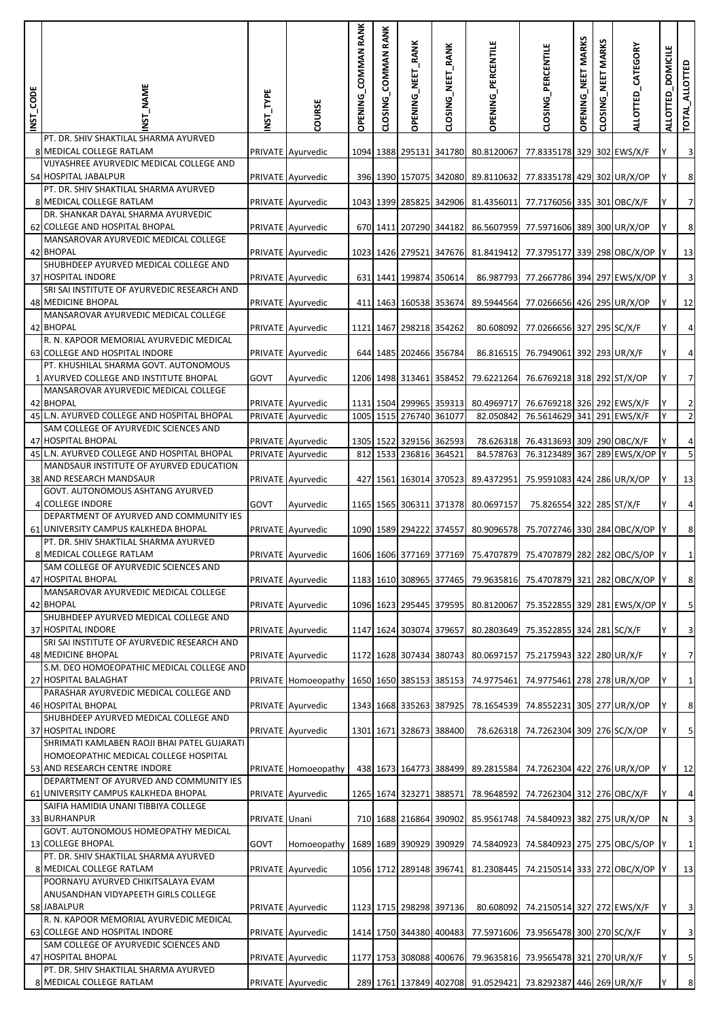| INST_CODE | NST_NAME                                                                             | NST_TYPE      | COURSE                                 | OPENING_COMMAN RANK | CLOSING_COMMAN RANK | OPENING_NEET_RANK                                 | CLOSING_NEET_RANK | <b>OPENING_PERCENTILE</b>          | CLOSING_PERCENTILE                                             | OPENING_NEET MARKS | <b>MARKS</b><br>NEET<br>CLOSING | ALLOTTED_CATEGORY | <b>DOMICILE</b><br><b>ALLOTTED</b> | TOTAL_ALLOTTED                            |
|-----------|--------------------------------------------------------------------------------------|---------------|----------------------------------------|---------------------|---------------------|---------------------------------------------------|-------------------|------------------------------------|----------------------------------------------------------------|--------------------|---------------------------------|-------------------|------------------------------------|-------------------------------------------|
|           | PT. DR. SHIV SHAKTILAL SHARMA AYURVED<br>8 MEDICAL COLLEGE RATLAM                    |               | PRIVATE Ayurvedic                      |                     |                     | 1094 1388 295131 341780                           |                   | 80.8120067                         | 77.8335178 329 302 EWS/X/F                                     |                    |                                 |                   |                                    | $\overline{\mathbf{3}}$                   |
|           | VIJYASHREE AYURVEDIC MEDICAL COLLEGE AND<br>54 HOSPITAL JABALPUR                     |               | PRIVATE Ayurvedic                      |                     |                     | 396 1390 157075 342080                            |                   | 89.8110632                         | 77.8335178 429 302 UR/X/OP                                     |                    |                                 |                   | Y                                  | $\boldsymbol{8}$                          |
|           | PT. DR. SHIV SHAKTILAL SHARMA AYURVED                                                |               |                                        |                     |                     |                                                   |                   |                                    |                                                                |                    |                                 |                   |                                    |                                           |
|           | 8 MEDICAL COLLEGE RATLAM<br>DR. SHANKAR DAYAL SHARMA AYURVEDIC                       |               | PRIVATE Ayurvedic                      |                     |                     | 1043 1399 285825 342906                           |                   | 81.4356011                         | 77.7176056 335 301 OBC/X/F                                     |                    |                                 |                   |                                    | $\overline{7}$                            |
|           | 62 COLLEGE AND HOSPITAL BHOPAL                                                       |               | PRIVATE Ayurvedic                      |                     |                     | 670 1411 207290 344182                            |                   | 86.5607959                         | 77.5971606 389 300 UR/X/OP                                     |                    |                                 |                   |                                    | $\bf 8$                                   |
|           | MANSAROVAR AYURVEDIC MEDICAL COLLEGE<br>42 BHOPAL                                    |               | PRIVATE Ayurvedic                      |                     |                     | 1023 1426 279521 347676                           |                   | 81.8419412                         | 77.3795177 339 298 OBC/X/OP                                    |                    |                                 |                   |                                    | 13                                        |
|           | SHUBHDEEP AYURVED MEDICAL COLLEGE AND<br>37 HOSPITAL INDORE                          |               | PRIVATE Ayurvedic                      |                     |                     | 631 1441 199874 350614                            |                   | 86.987793                          | 77.2667786 394 297 EWS/X/OP Y                                  |                    |                                 |                   |                                    | $\overline{\mathbf{3}}$                   |
|           | SRI SAI INSTITUTE OF AYURVEDIC RESEARCH AND                                          |               |                                        |                     |                     |                                                   |                   |                                    |                                                                |                    |                                 |                   |                                    |                                           |
|           | <b>48 MEDICINE BHOPAL</b><br>MANSAROVAR AYURVEDIC MEDICAL COLLEGE                    |               | PRIVATE Ayurvedic                      |                     |                     | 411 1463 160538 353674                            |                   | 89.5944564                         | 77.0266656 426 295 UR/X/OP                                     |                    |                                 |                   |                                    | 12                                        |
|           | 42 BHOPAL                                                                            |               | PRIVATE Ayurvedic                      |                     |                     | 1121 1467 298218 354262                           |                   | 80.608092                          | 77.0266656 327 295 SC/X/F                                      |                    |                                 |                   |                                    | $\overline{a}$                            |
|           | R. N. KAPOOR MEMORIAL AYURVEDIC MEDICAL<br>63 COLLEGE AND HOSPITAL INDORE            |               | PRIVATE Ayurvedic                      |                     |                     | 644 1485 202466 356784                            |                   | 86.816515                          | 76.7949061 392 293 UR/X/F                                      |                    |                                 |                   |                                    | $\overline{a}$                            |
|           | PT. KHUSHILAL SHARMA GOVT. AUTONOMOUS<br>1 AYURVED COLLEGE AND INSTITUTE BHOPAL      | GOVT          |                                        |                     |                     | 1206 1498 313461 358452                           |                   |                                    | 76.6769218 318 292 ST/X/OP                                     |                    |                                 |                   |                                    | $\overline{7}$                            |
|           | MANSAROVAR AYURVEDIC MEDICAL COLLEGE                                                 |               | Ayurvedic                              |                     |                     |                                                   |                   | 79.6221264                         |                                                                |                    |                                 |                   |                                    |                                           |
|           | 42 BHOPAL<br>45 L.N. AYURVED COLLEGE AND HOSPITAL BHOPAL                             |               | PRIVATE Ayurvedic<br>PRIVATE Ayurvedic | 1005 1515           |                     | 1131 1504 299965 359313<br>276740 361077          |                   | 80.4969717<br>82.050842            | 76.6769218 326 292 EWS/X/F<br>76.5614629 341 291 EWS/X/F       |                    |                                 |                   |                                    | $\overline{2}$<br>$\overline{2}$          |
|           | SAM COLLEGE OF AYURVEDIC SCIENCES AND                                                |               |                                        |                     |                     |                                                   |                   |                                    |                                                                |                    |                                 |                   |                                    |                                           |
|           | 47 HOSPITAL BHOPAL<br>45 L.N. AYURVED COLLEGE AND HOSPITAL BHOPAL                    |               | PRIVATE Ayurvedic<br>PRIVATE Ayurvedic |                     |                     | 1305 1522 329156 362593<br>812 1533 236816 364521 |                   | 78.626318<br>84.578763             | 76.4313693 309 290 OBC/X/F<br>76.3123489 367 289 EWS/X/OP Y    |                    |                                 |                   |                                    | $\overline{a}$<br>$\overline{\mathbf{5}}$ |
|           | MANDSAUR INSTITUTE OF AYURVED EDUCATION                                              |               |                                        |                     |                     |                                                   |                   |                                    |                                                                |                    |                                 |                   |                                    |                                           |
|           | 38 AND RESEARCH MANDSAUR<br><b>GOVT. AUTONOMOUS ASHTANG AYURVED</b>                  |               | PRIVATE Ayurvedic                      |                     |                     | 427 1561 163014 370523                            |                   | 89.4372951                         | 75.9591083 424 286 UR/X/OP                                     |                    |                                 |                   |                                    | 13                                        |
|           | 4 COLLEGE INDORE<br>DEPARTMENT OF AYURVED AND COMMUNITY IES                          | <b>GOVT</b>   | Ayurvedic                              |                     |                     | 1165 1565 306311 371378                           |                   | 80.0697157                         | 75.826554 322 285 ST/X/F                                       |                    |                                 |                   |                                    | $\overline{a}$                            |
|           | 61 UNIVERSITY CAMPUS KALKHEDA BHOPAL                                                 |               | PRIVATE Ayurvedic                      | 1090 1589           |                     | 294222 374557                                     |                   | 80.9096578                         | 75.7072746 330 284 OBC/X/OP                                    |                    |                                 |                   |                                    | $\bf 8$                                   |
|           | PT. DR. SHIV SHAKTILAL SHARMA AYURVED<br>8 MEDICAL COLLEGE RATLAM                    |               | PRIVATE Ayurvedic                      |                     |                     |                                                   |                   |                                    | 1606 1606 377169 377169 75.4707879 75.4707879 282 282 OBC/S/OP |                    |                                 |                   |                                    | $1\vert$                                  |
|           | SAM COLLEGE OF AYURVEDIC SCIENCES AND                                                |               |                                        |                     |                     |                                                   |                   |                                    |                                                                |                    |                                 |                   |                                    |                                           |
|           | 47 HOSPITAL BHOPAL<br>MANSAROVAR AYURVEDIC MEDICAL COLLEGE                           |               | PRIVATE Ayurvedic                      |                     |                     | 1183 1610 308965 377465                           |                   |                                    | 79.9635816 75.4707879 321 282 OBC/X/OP                         |                    |                                 |                   |                                    | $\boldsymbol{8}$                          |
|           | 42 BHOPAL<br>SHUBHDEEP AYURVED MEDICAL COLLEGE AND                                   |               | PRIVATE Ayurvedic                      |                     |                     | 1096 1623 295445 379595                           |                   | 80.8120067                         | 75.3522855 329 281 EWS/X/OP Y                                  |                    |                                 |                   |                                    | $\overline{\mathbf{5}}$                   |
|           | 37 HOSPITAL INDORE                                                                   |               | PRIVATE Ayurvedic                      |                     |                     | 1147 1624 303074 379657                           |                   | 80.2803649                         | 75.3522855 324 281 SC/X/F                                      |                    |                                 |                   |                                    | $\overline{\mathbf{3}}$                   |
|           | SRI SAI INSTITUTE OF AYURVEDIC RESEARCH AND<br><b>48 MEDICINE BHOPAL</b>             |               | PRIVATE Ayurvedic                      |                     |                     | 1172 1628 307434 380743                           |                   | 80.0697157                         | 75.2175943 322 280 UR/X/F                                      |                    |                                 |                   | Y                                  | $\overline{7}$                            |
|           | S.M. DEO HOMOEOPATHIC MEDICAL COLLEGE AND                                            |               |                                        |                     |                     |                                                   |                   |                                    | 1650 1650 385153 385153 74.9775461 74.9775461 278 278 UR/X/OP  |                    |                                 |                   |                                    | $\mathbf{1}$                              |
|           | 27 HOSPITAL BALAGHAT<br>PARASHAR AYURVEDIC MEDICAL COLLEGE AND                       |               | PRIVATE Homoeopathy                    |                     |                     |                                                   |                   |                                    |                                                                |                    |                                 |                   |                                    |                                           |
|           | 46 HOSPITAL BHOPAL<br>SHUBHDEEP AYURVED MEDICAL COLLEGE AND                          |               | PRIVATE Ayurvedic                      |                     |                     | 1343 1668 335263 387925                           |                   | 78.1654539                         | 74.8552231 305 277 UR/X/OP                                     |                    |                                 |                   |                                    | $\boldsymbol{8}$                          |
|           | 37 HOSPITAL INDORE                                                                   |               | PRIVATE Ayurvedic                      |                     |                     | 1301 1671 328673 388400                           |                   |                                    | 78.626318 74.7262304 309 276 SC/X/OP                           |                    |                                 |                   |                                    | $\overline{\mathbf{5}}$                   |
|           | SHRIMATI KAMLABEN RAOJI BHAI PATEL GUJARATI<br>HOMOEOPATHIC MEDICAL COLLEGE HOSPITAL |               |                                        |                     |                     |                                                   |                   |                                    |                                                                |                    |                                 |                   |                                    |                                           |
|           | 53 AND RESEARCH CENTRE INDORE<br>DEPARTMENT OF AYURVED AND COMMUNITY IES             |               | PRIVATE Homoeopathy                    |                     |                     | 438 1673 164773 388499                            |                   |                                    | 89.2815584 74.7262304 422 276 UR/X/OP                          |                    |                                 |                   | Y                                  | 12                                        |
|           | 61 UNIVERSITY CAMPUS KALKHEDA BHOPAL                                                 |               | PRIVATE Ayurvedic                      |                     |                     | 1265 1674 323271 388571                           |                   | 78.9648592                         | 74.7262304 312 276 OBC/X/F                                     |                    |                                 |                   |                                    | $\overline{a}$                            |
|           | SAIFIA HAMIDIA UNANI TIBBIYA COLLEGE<br>33 BURHANPUR                                 | PRIVATE Unani |                                        |                     |                     | 710 1688 216864 390902                            |                   |                                    | 85.9561748 74.5840923 382 275 UR/X/OP                          |                    |                                 |                   | N                                  | $\overline{\mathbf{3}}$                   |
|           | GOVT. AUTONOMOUS HOMEOPATHY MEDICAL                                                  |               |                                        |                     |                     |                                                   |                   |                                    |                                                                |                    |                                 |                   |                                    |                                           |
|           | 13 COLLEGE BHOPAL<br>PT. DR. SHIV SHAKTILAL SHARMA AYURVED                           | GOVT          | Homoeopathy                            |                     |                     |                                                   |                   | 1689 1689 390929 390929 74.5840923 | 74.5840923 275 275 OBC/S/OP                                    |                    |                                 |                   |                                    | $\mathbf{1}$                              |
|           | 8 MEDICAL COLLEGE RATLAM                                                             |               | PRIVATE Ayurvedic                      |                     |                     |                                                   |                   |                                    | 1056 1712 289148 396741 81.2308445 74.2150514 333 272 OBC/X/OP |                    |                                 |                   |                                    | 13                                        |
|           | POORNAYU AYURVED CHIKITSALAYA EVAM<br>ANUSANDHAN VIDYAPEETH GIRLS COLLEGE            |               |                                        |                     |                     |                                                   |                   |                                    |                                                                |                    |                                 |                   |                                    |                                           |
|           | 58 JABALPUR<br>R. N. KAPOOR MEMORIAL AYURVEDIC MEDICAL                               |               | PRIVATE Ayurvedic                      |                     |                     | 1123 1715 298298 397136                           |                   | 80.608092                          | 74.2150514 327 272 EWS/X/F                                     |                    |                                 |                   |                                    | $\mathbf{3}$                              |
|           | 63 COLLEGE AND HOSPITAL INDORE                                                       |               | PRIVATE Ayurvedic                      |                     |                     | 1414 1750 344380 400483                           |                   | 77.5971606                         | 73.9565478 300 270 SC/X/F                                      |                    |                                 |                   | Y                                  | $\mathbf{3}$                              |
|           | SAM COLLEGE OF AYURVEDIC SCIENCES AND<br>47 HOSPITAL BHOPAL                          |               | PRIVATE Ayurvedic                      |                     |                     | 1177 1753 308088 400676                           |                   | 79.9635816                         | 73.9565478 321 270 UR/X/F                                      |                    |                                 |                   |                                    | $\overline{\mathbf{5}}$                   |
|           | PT. DR. SHIV SHAKTILAL SHARMA AYURVED<br>8 MEDICAL COLLEGE RATLAM                    |               | PRIVATE Ayurvedic                      |                     |                     |                                                   |                   |                                    | 289 1761 137849 402708 91.0529421 73.8292387 446 269 UR/X/F    |                    |                                 |                   |                                    | $\boldsymbol{8}$                          |
|           |                                                                                      |               |                                        |                     |                     |                                                   |                   |                                    |                                                                |                    |                                 |                   |                                    |                                           |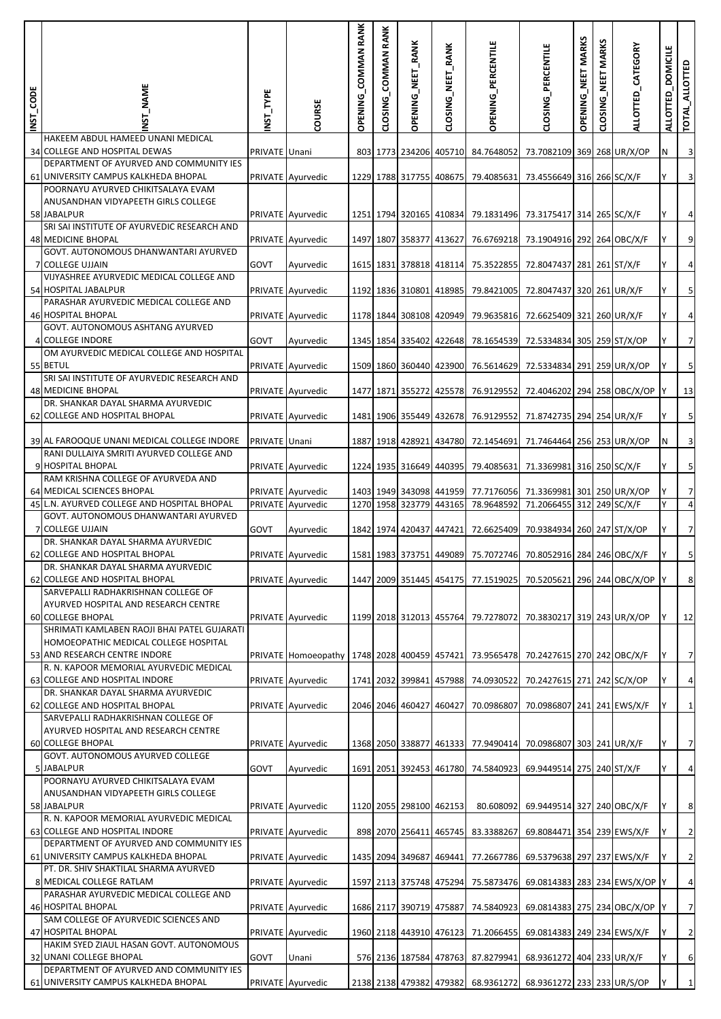| INST_CODE | NST_NAME                                                                        | NST_TYPE      | COURSE              | OPENING_COMMAN RANK | CLOSING_COMMAN RANK | OPENING_NEET_RANK       | CLOSING_NEET_RANK       | <b>OPENING_PERCENTILE</b>          | CLOSING_PERCENTILE                                            | OPENING_NEET MARKS | <b>MARKS</b><br>NEET<br>CLOSING | ALLOTTED_CATEGORY | <b>DOMICILE</b><br><b>ALLOTTED</b> | TOTAL_ALLOTTED          |
|-----------|---------------------------------------------------------------------------------|---------------|---------------------|---------------------|---------------------|-------------------------|-------------------------|------------------------------------|---------------------------------------------------------------|--------------------|---------------------------------|-------------------|------------------------------------|-------------------------|
|           | HAKEEM ABDUL HAMEED UNANI MEDICAL<br>34 COLLEGE AND HOSPITAL DEWAS              | PRIVATE Unani |                     |                     |                     |                         | 803 1773 234206 405710  | 84.7648052                         | 73.7082109 369 268 UR/X/OP                                    |                    |                                 |                   | Ν                                  | $\mathbf{3}$            |
|           | DEPARTMENT OF AYURVED AND COMMUNITY IES<br>61 UNIVERSITY CAMPUS KALKHEDA BHOPAL |               | PRIVATE Ayurvedic   |                     |                     |                         | 1229 1788 317755 408675 | 79.4085631                         | 73.4556649 316 266 SC/X/F                                     |                    |                                 |                   | Y                                  | $\mathbf{3}$            |
|           | POORNAYU AYURVED CHIKITSALAYA EVAM                                              |               |                     |                     |                     |                         |                         |                                    |                                                               |                    |                                 |                   |                                    |                         |
|           | ANUSANDHAN VIDYAPEETH GIRLS COLLEGE<br>58 JABALPUR                              |               | PRIVATE Ayurvedic   |                     |                     |                         |                         |                                    | 1251 1794 320165 410834 79.1831496 73.3175417 314 265 SC/X/F  |                    |                                 |                   |                                    | $\overline{a}$          |
|           | SRI SAI INSTITUTE OF AYURVEDIC RESEARCH AND<br><b>48 MEDICINE BHOPAL</b>        |               | PRIVATE Ayurvedic   |                     |                     |                         | 1497 1807 358377 413627 | 76.6769218                         | 73.1904916 292 264 OBC/X/F                                    |                    |                                 |                   |                                    | 9                       |
|           | GOVT. AUTONOMOUS DHANWANTARI AYURVED<br>7 COLLEGE UJJAIN                        | GOVT          | Ayurvedic           |                     |                     |                         | 1615 1831 378818 418114 | 75.3522855                         | 72.8047437 281 261 ST/X/F                                     |                    |                                 |                   | Y                                  | $\overline{a}$          |
|           | VIJYASHREE AYURVEDIC MEDICAL COLLEGE AND<br>54 HOSPITAL JABALPUR                |               | PRIVATE Ayurvedic   |                     |                     |                         | 1192 1836 310801 418985 | 79.8421005                         | 72.8047437 320 261 UR/X/F                                     |                    |                                 |                   |                                    | 5                       |
|           | PARASHAR AYURVEDIC MEDICAL COLLEGE AND                                          |               |                     |                     |                     |                         |                         |                                    |                                                               |                    |                                 |                   |                                    |                         |
|           | <b>46 HOSPITAL BHOPAL</b><br>GOVT. AUTONOMOUS ASHTANG AYURVED                   |               | PRIVATE Ayurvedic   |                     |                     |                         | 1178 1844 308108 420949 | 79.9635816                         | 72.6625409 321 260 UR/X/F                                     |                    |                                 |                   |                                    | $\overline{a}$          |
|           | 4 COLLEGE INDORE<br>OM AYURVEDIC MEDICAL COLLEGE AND HOSPITAL                   | GOVT          | Ayurvedic           |                     |                     |                         | 1345 1854 335402 422648 | 78.1654539                         | 72.5334834 305 259 ST/X/OP                                    |                    |                                 |                   |                                    | $\overline{7}$          |
|           | 55 BETUL<br>SRI SAI INSTITUTE OF AYURVEDIC RESEARCH AND                         |               | PRIVATE Ayurvedic   |                     |                     |                         | 1509 1860 360440 423900 | 76.5614629                         | 72.5334834 291 259 UR/X/OP                                    |                    |                                 |                   | Y                                  | $\mathbf{5}$            |
|           | 48 MEDICINE BHOPAL                                                              |               | PRIVATE Ayurvedic   |                     |                     |                         | 1477 1871 355272 425578 | 76.9129552                         | 72.4046202 294 258 OBC/X/OP                                   |                    |                                 |                   |                                    | 13                      |
|           | DR. SHANKAR DAYAL SHARMA AYURVEDIC<br>62 COLLEGE AND HOSPITAL BHOPAL            |               | PRIVATE Ayurvedic   |                     |                     |                         | 1481 1906 355449 432678 | 76.9129552                         | 71.8742735 294 254 UR/X/F                                     |                    |                                 |                   |                                    | 5 <sub>l</sub>          |
|           | 39 AL FAROOQUE UNANI MEDICAL COLLEGE INDORE                                     | PRIVATE Unani |                     |                     |                     |                         | 1887 1918 428921 434780 | 72.1454691                         | 71.7464464 256 253 UR/X/OP                                    |                    |                                 |                   | N                                  | $\overline{\mathbf{3}}$ |
|           | RANI DULLAIYA SMRITI AYURVED COLLEGE AND<br>9 HOSPITAL BHOPAL                   |               | PRIVATE Ayurvedic   |                     |                     |                         | 1224 1935 316649 440395 | 79.4085631                         | 71.3369981 316 250 SC/X/F                                     |                    |                                 |                   |                                    | 5 <sub>l</sub>          |
|           | RAM KRISHNA COLLEGE OF AYURVEDA AND<br>64 MEDICAL SCIENCES BHOPAL               |               | PRIVATE Ayurvedic   |                     |                     |                         | 1403 1949 343098 441959 |                                    |                                                               |                    |                                 |                   |                                    | $\overline{7}$          |
|           | 45 L.N. AYURVED COLLEGE AND HOSPITAL BHOPAL                                     |               | PRIVATE Ayurvedic   |                     |                     | 1270 1958 323779 443165 |                         | 77.7176056<br>78.9648592           | 71.3369981 301 250 UR/X/OP<br>71.2066455 312 249 SC/X/F       |                    |                                 |                   | Y                                  | $\overline{4}$          |
|           | GOVT. AUTONOMOUS DHANWANTARI AYURVED<br>7 COLLEGE UJJAIN                        | GOVT          | Ayurvedic           |                     |                     | 1842 1974 420437 447421 |                         | 72.6625409                         | 70.9384934 260 247 ST/X/OP                                    |                    |                                 |                   |                                    | $\overline{7}$          |
|           | DR. SHANKAR DAYAL SHARMA AYURVEDIC<br>62 COLLEGE AND HOSPITAL BHOPAL            |               | PRIVATE Ayurvedic   |                     |                     |                         |                         |                                    | 1581 1983 373751 449089 75.7072746 70.8052916 284 246 OBC/X/F |                    |                                 |                   |                                    | 5                       |
|           | DR. SHANKAR DAYAL SHARMA AYURVEDIC                                              |               |                     |                     |                     |                         |                         |                                    |                                                               |                    |                                 |                   |                                    |                         |
|           | 62 COLLEGE AND HOSPITAL BHOPAL<br>SARVEPALLI RADHAKRISHNAN COLLEGE OF           |               | PRIVATE Ayurvedic   |                     |                     |                         |                         | 1447 2009 351445 454175 77.1519025 | 70.5205621 296 244 OBC/X/OP Y                                 |                    |                                 |                   |                                    | $\boldsymbol{8}$        |
|           | AYURVED HOSPITAL AND RESEARCH CENTRE<br>60 COLLEGE BHOPAL                       |               | PRIVATE Ayurvedic   |                     |                     |                         |                         | 1199 2018 312013 455764 79.7278072 | 70.3830217 319 243 UR/X/OP                                    |                    |                                 |                   | Y                                  | 12                      |
|           | SHRIMATI KAMLABEN RAOJI BHAI PATEL GUJARATI                                     |               |                     |                     |                     |                         |                         |                                    |                                                               |                    |                                 |                   |                                    |                         |
|           | HOMOEOPATHIC MEDICAL COLLEGE HOSPITAL<br>53 AND RESEARCH CENTRE INDORE          |               | PRIVATE Homoeopathy |                     |                     |                         |                         | 1748 2028 400459 457421 73.9565478 | 70.2427615 270 242 OBC/X/F                                    |                    |                                 |                   | Y                                  | $\overline{7}$          |
|           | R. N. KAPOOR MEMORIAL AYURVEDIC MEDICAL<br>63 COLLEGE AND HOSPITAL INDORE       |               | PRIVATE Ayurvedic   |                     |                     |                         |                         | 1741 2032 399841 457988 74.0930522 | 70.2427615 271 242 SC/X/OP                                    |                    |                                 |                   |                                    | $\overline{a}$          |
|           | DR. SHANKAR DAYAL SHARMA AYURVEDIC<br>62 COLLEGE AND HOSPITAL BHOPAL            |               | PRIVATE Ayurvedic   |                     |                     | 2046 2046 460427 460427 |                         | 70.0986807                         | 70.0986807 241 241 EWS/X/F                                    |                    |                                 |                   |                                    | $\mathbf{1}$            |
|           | SARVEPALLI RADHAKRISHNAN COLLEGE OF                                             |               |                     |                     |                     |                         |                         |                                    |                                                               |                    |                                 |                   |                                    |                         |
|           | AYURVED HOSPITAL AND RESEARCH CENTRE<br><b>60 COLLEGE BHOPAL</b>                |               | PRIVATE Ayurvedic   |                     |                     |                         | 1368 2050 338877 461333 | 77.9490414                         | 70.0986807 303 241 UR/X/F                                     |                    |                                 |                   | Υ                                  | $\overline{7}$          |
|           | GOVT. AUTONOMOUS AYURVED COLLEGE<br>5 JABALPUR                                  | GOVT          | Ayurvedic           |                     |                     |                         | 1691 2051 392453 461780 | 74.5840923                         | 69.9449514 275 240 ST/X/F                                     |                    |                                 |                   |                                    | $\overline{a}$          |
|           | POORNAYU AYURVED CHIKITSALAYA EVAM<br>ANUSANDHAN VIDYAPEETH GIRLS COLLEGE       |               |                     |                     |                     |                         |                         |                                    |                                                               |                    |                                 |                   |                                    |                         |
|           | 58 JABALPUR                                                                     |               | PRIVATE Ayurvedic   |                     |                     | 1120 2055 298100 462153 |                         | 80.608092                          | 69.9449514 327 240 OBC/X/F                                    |                    |                                 |                   | Y                                  | 8                       |
|           | R. N. KAPOOR MEMORIAL AYURVEDIC MEDICAL<br>63 COLLEGE AND HOSPITAL INDORE       |               | PRIVATE Ayurvedic   |                     |                     |                         | 898 2070 256411 465745  | 83.3388267                         | 69.8084471 354 239 EWS/X/F                                    |                    |                                 |                   |                                    | $\overline{2}$          |
|           | DEPARTMENT OF AYURVED AND COMMUNITY IES<br>61 UNIVERSITY CAMPUS KALKHEDA BHOPAL |               | PRIVATE Ayurvedic   |                     |                     |                         | 1435 2094 349687 469441 | 77.2667786                         | 69.5379638 297 237 EWS/X/F                                    |                    |                                 |                   |                                    | $\overline{2}$          |
|           | PT. DR. SHIV SHAKTILAL SHARMA AYURVED<br>8 MEDICAL COLLEGE RATLAM               |               | PRIVATE Ayurvedic   |                     |                     |                         |                         | 1597 2113 375748 475294 75.5873476 | 69.0814383 283 234 EWS/X/OP Y                                 |                    |                                 |                   |                                    | $\overline{a}$          |
|           | PARASHAR AYURVEDIC MEDICAL COLLEGE AND                                          |               |                     |                     |                     |                         |                         |                                    |                                                               |                    |                                 |                   |                                    |                         |
|           | 46 HOSPITAL BHOPAL<br>SAM COLLEGE OF AYURVEDIC SCIENCES AND                     |               | PRIVATE Ayurvedic   |                     |                     | 1686 2117 390719 475887 |                         | 74.5840923                         | 69.0814383 275 234 OBC/X/OP                                   |                    |                                 |                   |                                    | $\overline{7}$          |
|           | 47 HOSPITAL BHOPAL<br>HAKIM SYED ZIAUL HASAN GOVT. AUTONOMOUS                   |               | PRIVATE Ayurvedic   |                     |                     |                         | 1960 2118 443910 476123 | 71.2066455                         | 69.0814383 249 234 EWS/X/F                                    |                    |                                 |                   | Y                                  | $\overline{2}$          |
|           | 32 UNANI COLLEGE BHOPAL<br>DEPARTMENT OF AYURVED AND COMMUNITY IES              | GOVT          | Unani               |                     |                     |                         | 576 2136 187584 478763  | 87.8279941                         | 68.9361272 404 233 UR/X/F                                     |                    |                                 |                   |                                    | $6\,$                   |
|           | 61 UNIVERSITY CAMPUS KALKHEDA BHOPAL                                            |               | PRIVATE Ayurvedic   |                     |                     |                         | 2138 2138 479382 479382 | 68.9361272                         | 68.9361272 233 233 UR/S/OP                                    |                    |                                 |                   |                                    | $\mathbf 1$             |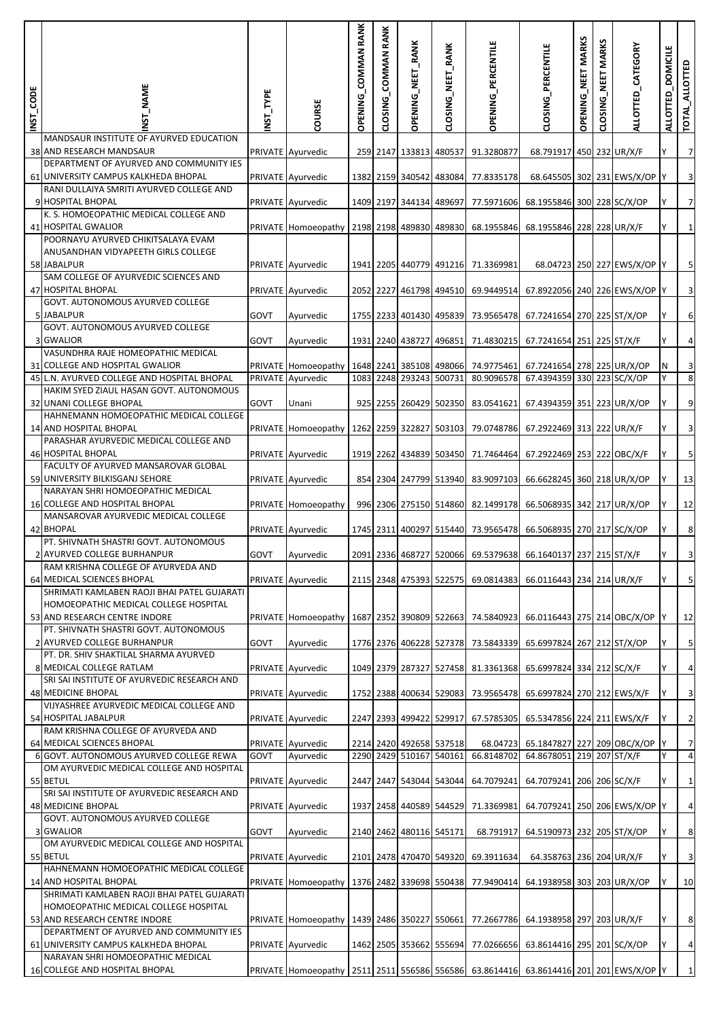| INST_CODE | <b>T_NAME</b>                                                                                                         | NST_TYPE | COURSE                                                                               | OPENING_COMMAN RANK | CLOSING_COMMAN RANK | OPENING_NEET_RANK                                  | CLOSING_NEET_RANK | OPENING_PERCENTILE                 | CLOSING_PERCENTILE                                           | OPENING_NEET MARKS | NEET MARKS<br>CLOSING | ALLOTTED_CATEGORY            | <b>DOMICILE</b><br><b>ALLOTTED</b> | e<br>TOTAL_ALLOTT                         |
|-----------|-----------------------------------------------------------------------------------------------------------------------|----------|--------------------------------------------------------------------------------------|---------------------|---------------------|----------------------------------------------------|-------------------|------------------------------------|--------------------------------------------------------------|--------------------|-----------------------|------------------------------|------------------------------------|-------------------------------------------|
|           | MANDSAUR INSTITUTE OF AYURVED EDUCATION<br>38 AND RESEARCH MANDSAUR                                                   |          | PRIVATE Ayurvedic                                                                    |                     |                     | 259 2147 133813 480537                             |                   | 91.3280877                         | 68.791917 450 232 UR/X/F                                     |                    |                       |                              |                                    | $\overline{7}$                            |
|           | DEPARTMENT OF AYURVED AND COMMUNITY IES                                                                               |          |                                                                                      |                     |                     |                                                    |                   |                                    |                                                              |                    |                       |                              |                                    |                                           |
|           | 61 UNIVERSITY CAMPUS KALKHEDA BHOPAL<br>RANI DULLAIYA SMRITI AYURVED COLLEGE AND                                      |          | PRIVATE Ayurvedic                                                                    |                     |                     | 1382 2159 340542 483084                            |                   | 77.8335178                         |                                                              |                    |                       | 68.645505 302 231 EWS/X/OP Y |                                    | $\mathbf{3}$                              |
|           | 9 HOSPITAL BHOPAL                                                                                                     |          | PRIVATE Ayurvedic                                                                    |                     |                     | 1409 2197 344134 489697                            |                   | 77.5971606                         | 68.1955846 300 228 SC/X/OP                                   |                    |                       |                              |                                    | $\overline{7}$                            |
|           | K. S. HOMOEOPATHIC MEDICAL COLLEGE AND<br>41 HOSPITAL GWALIOR                                                         |          | PRIVATE Homoeopathy                                                                  |                     |                     | 2198 2198 489830 489830                            |                   | 68.1955846                         | 68.1955846 228 228 UR/X/F                                    |                    |                       |                              |                                    | $\mathbf{1}$                              |
|           | POORNAYU AYURVED CHIKITSALAYA EVAM<br>ANUSANDHAN VIDYAPEETH GIRLS COLLEGE                                             |          |                                                                                      |                     |                     |                                                    |                   |                                    |                                                              |                    |                       |                              |                                    |                                           |
|           | 58 JABALPUR                                                                                                           |          | PRIVATE Ayurvedic                                                                    |                     |                     |                                                    |                   | 1941 2205 440779 491216 71.3369981 |                                                              |                    |                       | 68.04723 250 227 EWS/X/OP Y  |                                    | $\overline{\mathbf{5}}$                   |
|           | SAM COLLEGE OF AYURVEDIC SCIENCES AND<br><b>47 HOSPITAL BHOPAL</b>                                                    |          | PRIVATE Ayurvedic                                                                    |                     |                     | 2052 2227 461798 494510                            |                   | 69.9449514                         | 67.8922056 240 226 EWS/X/OP Y                                |                    |                       |                              |                                    | $\mathbf{3}$                              |
|           | GOVT. AUTONOMOUS AYURVED COLLEGE                                                                                      |          |                                                                                      |                     |                     |                                                    |                   |                                    |                                                              |                    |                       |                              |                                    |                                           |
|           | 5 JABALPUR<br>GOVT. AUTONOMOUS AYURVED COLLEGE                                                                        | GOVT     | Ayurvedic                                                                            |                     |                     | 1755 2233 401430 495839                            |                   | 73.9565478                         | 67.7241654 270 225 ST/X/OP                                   |                    |                       |                              |                                    | 6                                         |
|           | 3 GWALIOR                                                                                                             | GOVT     | Ayurvedic                                                                            |                     |                     | 1931 2240 438727 496851                            |                   | 71.4830215                         | 67.7241654 251 225 ST/X/F                                    |                    |                       |                              |                                    | $\overline{4}$                            |
|           | VASUNDHRA RAJE HOMEOPATHIC MEDICAL<br>31 COLLEGE AND HOSPITAL GWALIOR                                                 |          | PRIVATE Homoeopathy                                                                  |                     |                     | 1648 2241 385108 498066                            |                   | 74.9775461                         | 67.7241654 278 225 UR/X/OP                                   |                    |                       |                              | N                                  | $\mathbf{3}$                              |
|           | 45 L.N. AYURVED COLLEGE AND HOSPITAL BHOPAL                                                                           |          | PRIVATE Ayurvedic                                                                    | 1083 2248           |                     | 293243 500731                                      |                   | 80.9096578                         | 67.4394359 330 223 SC/X/OP                                   |                    |                       |                              |                                    | $\infty$                                  |
|           | HAKIM SYED ZIAUL HASAN GOVT. AUTONOMOUS<br>32 UNANI COLLEGE BHOPAL                                                    | GOVT     | Unani                                                                                |                     |                     | 925 2255 260429 502350                             |                   | 83.0541621                         | 67.4394359 351 223 UR/X/OP                                   |                    |                       |                              | Y                                  | $\mathsf 9$                               |
|           | HAHNEMANN HOMOEOPATHIC MEDICAL COLLEGE                                                                                |          |                                                                                      |                     |                     |                                                    |                   |                                    |                                                              |                    |                       |                              |                                    |                                           |
|           | 14 AND HOSPITAL BHOPAL<br>PARASHAR AYURVEDIC MEDICAL COLLEGE AND                                                      |          | PRIVATE Homoeopathy                                                                  |                     |                     | 1262 2259 322827 503103                            |                   | 79.0748786                         | 67.2922469 313 222 UR/X/F                                    |                    |                       |                              |                                    | $\overline{3}$                            |
|           | 46 HOSPITAL BHOPAL<br>FACULTY OF AYURVED MANSAROVAR GLOBAL                                                            |          | PRIVATE Ayurvedic                                                                    |                     |                     | 1919 2262 434839 503450                            |                   | 71.7464464                         | 67.2922469 253 222 OBC/X/F                                   |                    |                       |                              |                                    | $\overline{\mathbf{5}}$                   |
|           | 59 UNIVERSITY BILKISGANJ SEHORE                                                                                       |          | PRIVATE Ayurvedic                                                                    |                     |                     | 854 2304 247799 513940                             |                   | 83.9097103                         | 66.6628245 360 218 UR/X/OP                                   |                    |                       |                              |                                    | 13                                        |
|           | NARAYAN SHRI HOMOEOPATHIC MEDICAL<br>16 COLLEGE AND HOSPITAL BHOPAL                                                   |          | PRIVATE Homoeopathy                                                                  |                     |                     | 996 2306 275150 514860                             |                   | 82.1499178                         | 66.5068935 342 217 UR/X/OP                                   |                    |                       |                              |                                    | 12                                        |
|           | MANSAROVAR AYURVEDIC MEDICAL COLLEGE                                                                                  |          |                                                                                      |                     |                     |                                                    |                   |                                    |                                                              |                    |                       |                              |                                    |                                           |
|           | 42 BHOPAL<br>PT. SHIVNATH SHASTRI GOVT. AUTONOMOUS                                                                    |          | PRIVATE Ayurvedic                                                                    |                     |                     | 1745 2311 400297 515440                            |                   | 73.9565478                         | 66.5068935 270 217 SC/X/OP                                   |                    |                       |                              |                                    | $\boldsymbol{8}$                          |
|           | 2 AYURVED COLLEGE BURHANPUR                                                                                           | GOVT     | Ayurvedic                                                                            |                     |                     |                                                    |                   | 2091 2336 468727 520066 69.5379638 | 66.1640137 237 215 ST/X/F                                    |                    |                       |                              |                                    | $\overline{\mathbf{3}}$                   |
|           | RAM KRISHNA COLLEGE OF AYURVEDA AND<br>64 MEDICAL SCIENCES BHOPAL                                                     |          | PRIVATE Ayurvedic                                                                    |                     |                     |                                                    |                   |                                    | 2115 2348 475393 522575 69.0814383 66.0116443 234 214 UR/X/F |                    |                       |                              |                                    | $\overline{\mathbf{5}}$                   |
|           | SHRIMATI KAMLABEN RAOJI BHAI PATEL GUJARATI<br>HOMOEOPATHIC MEDICAL COLLEGE HOSPITAL<br>53 AND RESEARCH CENTRE INDORE |          | PRIVATE Homoeopathy                                                                  |                     |                     | 1687 2352 390809 522663                            |                   | 74.5840923                         | 66.0116443 275 214 OBC/X/OP                                  |                    |                       |                              | IY.                                | 12                                        |
|           | PT. SHIVNATH SHASTRI GOVT. AUTONOMOUS                                                                                 |          |                                                                                      |                     |                     |                                                    |                   |                                    |                                                              |                    |                       |                              |                                    |                                           |
|           | 2 AYURVED COLLEGE BURHANPUR<br>PT. DR. SHIV SHAKTILAL SHARMA AYURVED                                                  | GOVT     | Ayurvedic                                                                            |                     |                     | 1776 2376 406228 527378                            |                   | 73.5843339                         | 65.6997824 267 212 ST/X/OP                                   |                    |                       |                              |                                    | $\overline{\mathbf{5}}$                   |
|           | 8 MEDICAL COLLEGE RATLAM<br>SRI SAI INSTITUTE OF AYURVEDIC RESEARCH AND                                               |          | PRIVATE Ayurvedic                                                                    |                     |                     |                                                    |                   | 1049 2379 287327 527458 81.3361368 | 65.6997824 334 212 SC/X/F                                    |                    |                       |                              |                                    | $\overline{a}$                            |
|           | <b>48 MEDICINE BHOPAL</b>                                                                                             |          | PRIVATE Ayurvedic                                                                    |                     |                     | 1752 2388 400634 529083                            |                   | 73.9565478                         | 65.6997824 270 212 EWS/X/F                                   |                    |                       |                              | Y                                  | $\overline{3}$                            |
|           | VIJYASHREE AYURVEDIC MEDICAL COLLEGE AND<br>54 HOSPITAL JABALPUR                                                      |          | PRIVATE Ayurvedic                                                                    |                     |                     | 2247 2393 499422 529917                            |                   | 67.5785305                         | 65.5347856 224 211 EWS/X/F                                   |                    |                       |                              |                                    | $\overline{2}$                            |
|           | RAM KRISHNA COLLEGE OF AYURVEDA AND                                                                                   |          |                                                                                      |                     |                     |                                                    |                   |                                    |                                                              |                    |                       |                              |                                    |                                           |
|           | 64 MEDICAL SCIENCES BHOPAL<br>6 GOVT. AUTONOMOUS AYURVED COLLEGE REWA                                                 | GOVT     | PRIVATE Ayurvedic<br>Ayurvedic                                                       |                     |                     | 2214 2420 492658 537518<br>2290 2429 510167 540161 |                   | 68.04723<br>66.8148702             | 65.1847827 227 209 OBC/X/OP Y<br>64.8678051 219 207 ST/X/F   |                    |                       |                              | Y                                  | $\overline{7}$<br>$\overline{\mathbf{A}}$ |
|           | OM AYURVEDIC MEDICAL COLLEGE AND HOSPITAL<br>55 BETUL                                                                 |          |                                                                                      |                     |                     |                                                    |                   |                                    |                                                              |                    |                       |                              |                                    |                                           |
|           | SRI SAI INSTITUTE OF AYURVEDIC RESEARCH AND                                                                           |          | PRIVATE Ayurvedic                                                                    |                     |                     | 2447 2447 543044 543044                            |                   | 64.7079241                         | 64.7079241 206 206 SC/X/F                                    |                    |                       |                              | Y                                  | $\mathbf{1}$                              |
|           | 48 MEDICINE BHOPAL<br>GOVT. AUTONOMOUS AYURVED COLLEGE                                                                |          | PRIVATE Ayurvedic                                                                    |                     |                     | 1937 2458 440589 544529                            |                   | 71.3369981                         | 64.7079241 250 206 EWS/X/OP Y                                |                    |                       |                              |                                    | $\overline{a}$                            |
|           | 3 GWALIOR                                                                                                             | GOVT     | Ayurvedic                                                                            |                     |                     | 2140 2462 480116 545171                            |                   | 68.791917                          | 64.5190973 232 205 ST/X/OP                                   |                    |                       |                              | Y                                  | $\boldsymbol{8}$                          |
|           | OM AYURVEDIC MEDICAL COLLEGE AND HOSPITAL<br>55 BETUL                                                                 |          | PRIVATE Ayurvedic                                                                    |                     |                     | 2101 2478 470470 549320                            |                   | 69.3911634                         | 64.358763 236 204 UR/X/F                                     |                    |                       |                              |                                    | $\overline{\mathbf{3}}$                   |
|           | HAHNEMANN HOMOEOPATHIC MEDICAL COLLEGE<br>14 AND HOSPITAL BHOPAL                                                      |          | PRIVATE Homoeopathy                                                                  |                     |                     |                                                    |                   | 1376 2482 339698 550438 77.9490414 | 64.1938958 303 203 UR/X/OP                                   |                    |                       |                              |                                    | 10                                        |
|           | SHRIMATI KAMLABEN RAOJI BHAI PATEL GUJARATI<br>HOMOEOPATHIC MEDICAL COLLEGE HOSPITAL<br>53 AND RESEARCH CENTRE INDORE |          | PRIVATE Homoeopathy                                                                  |                     |                     |                                                    |                   |                                    | 1439 2486 350227 550661 77.2667786 64.1938958 297 203 UR/X/F |                    |                       |                              | Y                                  | $\boldsymbol{8}$                          |
|           | DEPARTMENT OF AYURVED AND COMMUNITY IES                                                                               |          |                                                                                      |                     |                     |                                                    |                   |                                    |                                                              |                    |                       |                              |                                    |                                           |
|           | 61 UNIVERSITY CAMPUS KALKHEDA BHOPAL<br>NARAYAN SHRI HOMOEOPATHIC MEDICAL                                             |          | PRIVATE Ayurvedic                                                                    |                     |                     | 1462 2505 353662 555694                            |                   | 77.0266656                         | 63.8614416 295 201 SC/X/OP                                   |                    |                       |                              |                                    | $\overline{a}$                            |
|           | 16 COLLEGE AND HOSPITAL BHOPAL                                                                                        |          | PRIVATE Homoeopathy 2511 2511 556586 556586 63.8614416 63.8614416 201 201 EWS/X/OP Y |                     |                     |                                                    |                   |                                    |                                                              |                    |                       |                              |                                    | $\mathbf 1$                               |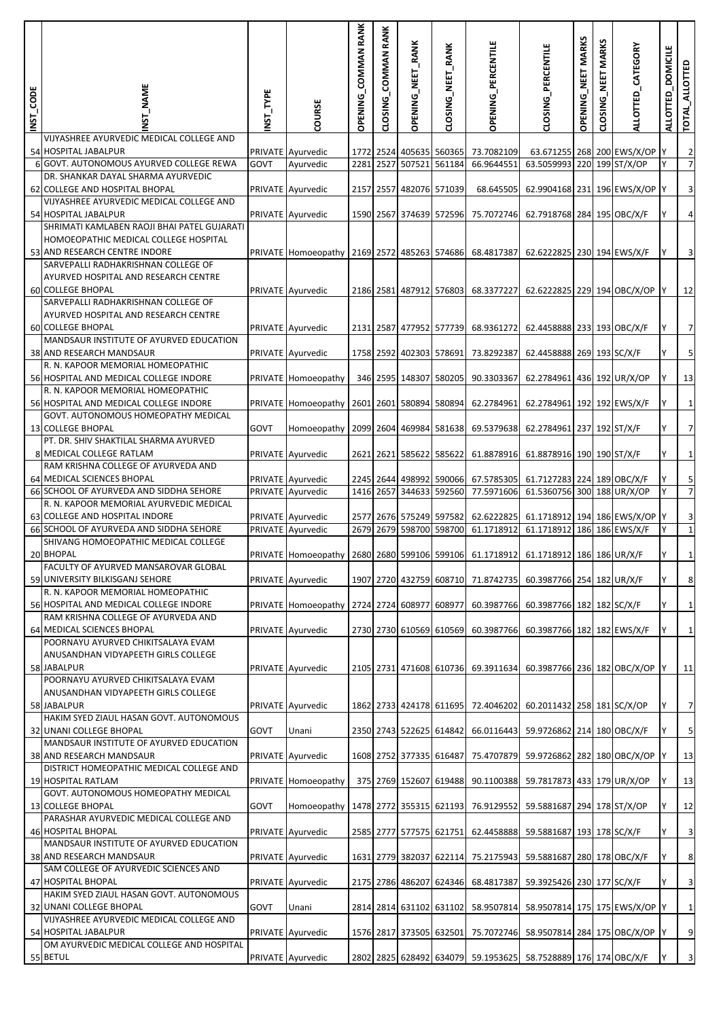| INST_CODE | _NAME                                                                                                                                                        | NST_TYPE | COURSE                         | OPENING_COMMAN RANK | CLOSING_COMMAN RANK | OPENING_NEET_RANK                        | CLOSING_NEET_RANK | OPENING_PERCENTILE                 | CLOSING_PERCENTILE                                               | OPENING_NEET MARKS | NEET MARKS<br>CLOSING | ALLOTTED_CATEGORY            | <b>DOMICILE</b><br><b>ALLOTTED</b> | e<br>TOTAL_ALLOTT                |
|-----------|--------------------------------------------------------------------------------------------------------------------------------------------------------------|----------|--------------------------------|---------------------|---------------------|------------------------------------------|-------------------|------------------------------------|------------------------------------------------------------------|--------------------|-----------------------|------------------------------|------------------------------------|----------------------------------|
|           | VIJYASHREE AYURVEDIC MEDICAL COLLEGE AND                                                                                                                     |          |                                |                     |                     |                                          |                   |                                    |                                                                  |                    |                       |                              |                                    |                                  |
|           | 54 HOSPITAL JABALPUR<br>6 GOVT. AUTONOMOUS AYURVED COLLEGE REWA                                                                                              | GOVT     | PRIVATE Ayurvedic<br>Ayurvedic | 2281 2527           |                     | 1772 2524 405635 560365<br>507521 561184 |                   | 73.7082109<br>66.9644551           | 63.5059993 220 199 ST/X/OP                                       |                    |                       | 63.671255 268 200 EWS/X/OP Y |                                    | $\overline{2}$<br>$\overline{7}$ |
|           | DR. SHANKAR DAYAL SHARMA AYURVEDIC                                                                                                                           |          |                                |                     |                     |                                          |                   |                                    |                                                                  |                    |                       |                              |                                    |                                  |
|           | 62 COLLEGE AND HOSPITAL BHOPAL<br>VIJYASHREE AYURVEDIC MEDICAL COLLEGE AND                                                                                   |          | PRIVATE Ayurvedic              | 2157 2557           |                     | 482076 571039                            |                   | 68.645505                          | 62.9904168 231 196 EWS/X/OP Y                                    |                    |                       |                              |                                    | $\overline{\mathbf{3}}$          |
|           | 54 HOSPITAL JABALPUR                                                                                                                                         |          | PRIVATE Ayurvedic              |                     |                     | 1590 2567 374639 572596                  |                   | 75.7072746                         | 62.7918768 284 195 OBC/X/F                                       |                    |                       |                              |                                    | $\overline{a}$                   |
|           | SHRIMATI KAMLABEN RAOJI BHAI PATEL GUJARATI<br>HOMOEOPATHIC MEDICAL COLLEGE HOSPITAL<br>53 AND RESEARCH CENTRE INDORE<br>SARVEPALLI RADHAKRISHNAN COLLEGE OF |          | PRIVATE Homoeopathy            |                     |                     |                                          |                   | 2169 2572 485263 574686 68.4817387 | 62.6222825 230 194 EWS/X/F                                       |                    |                       |                              |                                    | $\mathbf{3}$                     |
|           | AYURVED HOSPITAL AND RESEARCH CENTRE<br><b>60 COLLEGE BHOPAL</b><br>SARVEPALLI RADHAKRISHNAN COLLEGE OF                                                      |          | PRIVATE Ayurvedic              |                     |                     | 2186 2581 487912 576803                  |                   | 68.3377227                         | 62.6222825 229 194 OBC/X/OP                                      |                    |                       |                              |                                    | 12                               |
|           | AYURVED HOSPITAL AND RESEARCH CENTRE                                                                                                                         |          |                                |                     |                     |                                          |                   |                                    |                                                                  |                    |                       |                              |                                    |                                  |
|           | <b>60 COLLEGE BHOPAL</b><br>MANDSAUR INSTITUTE OF AYURVED EDUCATION                                                                                          |          | PRIVATE Ayurvedic              |                     |                     | 2131 2587 477952 577739                  |                   | 68.9361272                         | 62.4458888 233 193 OBC/X/F                                       |                    |                       |                              |                                    | $\overline{7}$                   |
|           | 38 AND RESEARCH MANDSAUR                                                                                                                                     |          | PRIVATE Ayurvedic              | 1758 2592           |                     | 402303 578691                            |                   | 73.8292387                         | 62.4458888 269 193 SC/X/F                                        |                    |                       |                              |                                    | 5 <sub>l</sub>                   |
|           | R. N. KAPOOR MEMORIAL HOMEOPATHIC<br>56 HOSPITAL AND MEDICAL COLLEGE INDORE<br>R. N. KAPOOR MEMORIAL HOMEOPATHIC                                             |          | PRIVATE Homoeopathy            |                     |                     | 346 2595 148307 580205                   |                   | 90.3303367                         | 62.2784961 436 192 UR/X/OP                                       |                    |                       |                              |                                    | 13                               |
|           | 56 HOSPITAL AND MEDICAL COLLEGE INDORE                                                                                                                       |          | PRIVATE Homoeopathy            |                     |                     | 2601 2601 580894 580894                  |                   | 62.2784961                         | 62.2784961 192 192 EWS/X/F                                       |                    |                       |                              | Y                                  | $\mathbf{1}$                     |
|           | GOVT. AUTONOMOUS HOMEOPATHY MEDICAL<br>13 COLLEGE BHOPAL                                                                                                     | GOVT     | Homoeopathy                    |                     |                     | 2099 2604 469984 581638                  |                   | 69.5379638                         | 62.2784961 237 192 ST/X/F                                        |                    |                       |                              |                                    | $\overline{7}$                   |
|           | PT. DR. SHIV SHAKTILAL SHARMA AYURVED                                                                                                                        |          |                                |                     |                     |                                          |                   |                                    |                                                                  |                    |                       |                              |                                    |                                  |
|           | 8 MEDICAL COLLEGE RATLAM<br>RAM KRISHNA COLLEGE OF AYURVEDA AND                                                                                              |          | PRIVATE Ayurvedic              |                     |                     | 2621 2621 585622 585622                  |                   | 61.8878916                         | 61.8878916 190 190 ST/X/F                                        |                    |                       |                              |                                    | $\mathbf{1}$                     |
|           | 64 MEDICAL SCIENCES BHOPAL<br>66 SCHOOL OF AYURVEDA AND SIDDHA SEHORE                                                                                        |          | PRIVATE Ayurvedic              |                     |                     | 2245 2644 498992 590066                  |                   | 67.5785305                         | 61.7127283 224 189 OBC/X/F<br>61.5360756 300 188 UR/X/OP         |                    |                       |                              | Y                                  | 5 <sub>l</sub><br>$\overline{7}$ |
|           | R. N. KAPOOR MEMORIAL AYURVEDIC MEDICAL                                                                                                                      |          | PRIVATE Ayurvedic              | 1416 2657           |                     |                                          | 344633 592560     | 77.5971606                         |                                                                  |                    |                       |                              |                                    |                                  |
|           | 63 COLLEGE AND HOSPITAL INDORE                                                                                                                               |          | PRIVATE Ayurvedic              |                     |                     | 2577 2676 575249 597582                  |                   | 62.6222825                         | 61.1718912 194 186 EWS/X/OP Y                                    |                    |                       |                              |                                    | $\overline{\mathbf{3}}$          |
|           | 66 SCHOOL OF AYURVEDA AND SIDDHA SEHORE<br>SHIVANG HOMOEOPATHIC MEDICAL COLLEGE                                                                              |          | PRIVATE Ayurvedic              | 2679                | 2679                |                                          | 598700 598700     | 61.1718912                         | 61.1718912 186 186 EWS/X/F                                       |                    |                       |                              |                                    | $\mathbf 1$                      |
|           | 20 BHOPAL<br>FACULTY OF AYURVED MANSAROVAR GLOBAL                                                                                                            |          | PRIVATE Homoeopathy            |                     |                     | 2680 2680 599106 599106                  |                   | 61.1718912                         | 61.1718912 186 186 UR/X/F                                        |                    |                       |                              |                                    | $1\vert$                         |
|           | 59 UNIVERSITY BILKISGANJ SEHORE                                                                                                                              |          | PRIVATE Ayurvedic              |                     |                     |                                          |                   |                                    | 1907 2720 432759 608710 71.8742735 60.3987766 254 182 UR/X/F     |                    |                       |                              |                                    | $\boldsymbol{8}$                 |
|           | R. N. KAPOOR MEMORIAL HOMEOPATHIC<br>56 HOSPITAL AND MEDICAL COLLEGE INDORE                                                                                  |          |                                |                     |                     |                                          |                   |                                    |                                                                  |                    |                       |                              |                                    |                                  |
|           | RAM KRISHNA COLLEGE OF AYURVEDA AND                                                                                                                          |          | PRIVATE Homoeopathy            |                     |                     | 2724 2724 608977 608977                  |                   | 60.3987766                         | 60.3987766 182 182 SC/X/F                                        |                    |                       |                              | Y                                  | $\mathbf{1}$                     |
|           | 64 MEDICAL SCIENCES BHOPAL<br>POORNAYU AYURVED CHIKITSALAYA EVAM                                                                                             |          | PRIVATE Ayurvedic              |                     |                     | 2730 2730 610569 610569                  |                   |                                    | 60.3987766 60.3987766 182 182 EWS/X/F                            |                    |                       |                              |                                    | $\mathbf{1}$                     |
|           | ANUSANDHAN VIDYAPEETH GIRLS COLLEGE                                                                                                                          |          |                                |                     |                     |                                          |                   |                                    |                                                                  |                    |                       |                              |                                    |                                  |
|           | 58 JABALPUR<br>POORNAYU AYURVED CHIKITSALAYA EVAM                                                                                                            |          | PRIVATE Ayurvedic              |                     |                     |                                          |                   |                                    | 2105 2731 471608 610736 69.3911634 60.3987766 236 182 OBC/X/OP   |                    |                       |                              |                                    | 11                               |
|           | ANUSANDHAN VIDYAPEETH GIRLS COLLEGE                                                                                                                          |          |                                |                     |                     |                                          |                   |                                    |                                                                  |                    |                       |                              |                                    |                                  |
|           | 58 JABALPUR<br>HAKIM SYED ZIAUL HASAN GOVT. AUTONOMOUS                                                                                                       |          | PRIVATE Ayurvedic              |                     |                     |                                          |                   | 1862 2733 424178 611695 72.4046202 | 60.2011432 258 181 SC/X/OP                                       |                    |                       |                              | Y                                  | $\overline{7}$                   |
|           | 32 UNANI COLLEGE BHOPAL                                                                                                                                      | GOVT     | Unani                          |                     |                     | 2350 2743 522625 614842                  |                   |                                    | 66.0116443 59.9726862 214 180 OBC/X/F                            |                    |                       |                              | Υ                                  | $\overline{\mathbf{5}}$          |
|           | MANDSAUR INSTITUTE OF AYURVED EDUCATION<br>38 AND RESEARCH MANDSAUR                                                                                          |          | PRIVATE Ayurvedic              |                     |                     | 1608 2752 377335 616487                  |                   |                                    | 75.4707879 59.9726862 282 180 OBC/X/OP                           |                    |                       |                              |                                    | 13                               |
|           | DISTRICT HOMEOPATHIC MEDICAL COLLEGE AND                                                                                                                     |          |                                |                     |                     |                                          |                   |                                    |                                                                  |                    |                       |                              |                                    |                                  |
|           | 19 HOSPITAL RATLAM<br>GOVT. AUTONOMOUS HOMEOPATHY MEDICAL                                                                                                    |          | PRIVATE Homoeopathy            |                     |                     |                                          |                   |                                    | 375 2769 152607 619488 90.1100388 59.7817873 433 179 UR/X/OP     |                    |                       |                              | Y                                  | 13                               |
|           | 13 COLLEGE BHOPAL                                                                                                                                            | GOVT     | Homoeopathy                    |                     |                     | 1478 2772 355315 621193                  |                   | 76.9129552                         | 59.5881687 294 178 ST/X/OP                                       |                    |                       |                              |                                    | 12                               |
|           | PARASHAR AYURVEDIC MEDICAL COLLEGE AND<br><b>46 HOSPITAL BHOPAL</b>                                                                                          |          | PRIVATE Ayurvedic              |                     |                     | 2585 2777 577575 621751                  |                   | 62.4458888                         | 59.5881687 193 178 SC/X/F                                        |                    |                       |                              | Υ                                  | $\mathbf{3}$                     |
|           | MANDSAUR INSTITUTE OF AYURVED EDUCATION                                                                                                                      |          |                                |                     |                     |                                          |                   |                                    |                                                                  |                    |                       |                              |                                    |                                  |
|           | 38 AND RESEARCH MANDSAUR<br>SAM COLLEGE OF AYURVEDIC SCIENCES AND                                                                                            |          | PRIVATE Ayurvedic              |                     |                     | 1631 2779 382037 622114                  |                   | 75.2175943                         | 59.5881687 280 178 OBC/X/F                                       |                    |                       |                              |                                    | $\boldsymbol{8}$                 |
|           | 47 HOSPITAL BHOPAL<br>HAKIM SYED ZIAUL HASAN GOVT. AUTONOMOUS                                                                                                |          | PRIVATE Ayurvedic              |                     |                     |                                          |                   | 2175 2786 486207 624346 68.4817387 | 59.3925426 230 177 SC/X/F                                        |                    |                       |                              |                                    | $\overline{\mathbf{3}}$          |
|           | 32 UNANI COLLEGE BHOPAL                                                                                                                                      | GOVT     | Unani                          |                     |                     |                                          |                   |                                    | 2814 2814 631102 631102 58.9507814 58.9507814 175 175 EWS/X/OP   |                    |                       |                              |                                    | $\mathbf{1}$                     |
|           | VIJYASHREE AYURVEDIC MEDICAL COLLEGE AND<br>54 HOSPITAL JABALPUR                                                                                             |          | PRIVATE Ayurvedic              |                     |                     |                                          |                   |                                    | 1576 2817 373505 632501 75.7072746 58.9507814 284 175 OBC/X/OP Y |                    |                       |                              |                                    | $\overline{9}$                   |
|           | OM AYURVEDIC MEDICAL COLLEGE AND HOSPITAL                                                                                                                    |          |                                |                     |                     |                                          |                   |                                    |                                                                  |                    |                       |                              |                                    |                                  |
|           | 55 BETUL                                                                                                                                                     |          | PRIVATE Ayurvedic              |                     |                     |                                          |                   |                                    | 2802 2825 628492 634079 59.1953625 58.7528889 176 174 OBC/X/F    |                    |                       |                              |                                    | $\overline{3}$                   |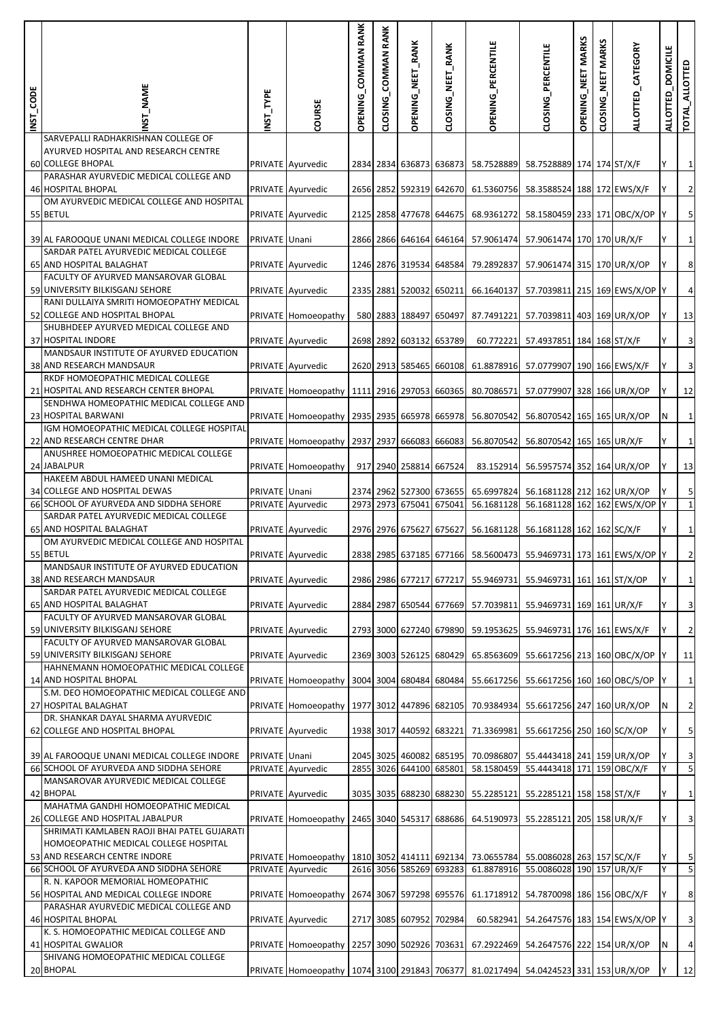| INST_CODE | <b>T_NAME</b>                                                                        | NST_TYPE      | COURSE                                                                              | OPENING_COMMAN RANK | CLOSING_COMMAN RANK | OPENING_NEET_RANK       | CLOSING_NEET_RANK | OPENING_PERCENTILE                 | CLOSING_PERCENTILE                                                                        | OPENING_NEET MARKS | <b>MARKS</b><br>LNEET<br>CLOSING | ALLOTTED_CATEGORY | <b>DOMICILE</b><br>ALLOTTED | TOTAL_ALLOTTED          |
|-----------|--------------------------------------------------------------------------------------|---------------|-------------------------------------------------------------------------------------|---------------------|---------------------|-------------------------|-------------------|------------------------------------|-------------------------------------------------------------------------------------------|--------------------|----------------------------------|-------------------|-----------------------------|-------------------------|
|           | SARVEPALLI RADHAKRISHNAN COLLEGE OF<br>AYURVED HOSPITAL AND RESEARCH CENTRE          |               |                                                                                     |                     |                     |                         |                   |                                    |                                                                                           |                    |                                  |                   |                             |                         |
|           | 60 COLLEGE BHOPAL<br>PARASHAR AYURVEDIC MEDICAL COLLEGE AND                          |               | PRIVATE Ayurvedic                                                                   |                     |                     | 2834 2834 636873 636873 |                   | 58.7528889                         | 58.7528889 174 174 ST/X/F                                                                 |                    |                                  |                   |                             | $\mathbf{1}$            |
|           | 46 HOSPITAL BHOPAL                                                                   |               | PRIVATE Ayurvedic                                                                   |                     |                     | 2656 2852 592319 642670 |                   | 61.5360756                         | 58.3588524 188 172 EWS/X/F                                                                |                    |                                  |                   |                             | $\overline{2}$          |
|           | OM AYURVEDIC MEDICAL COLLEGE AND HOSPITAL<br>55 BETUL                                |               | PRIVATE Ayurvedic                                                                   |                     |                     | 2125 2858 477678 644675 |                   | 68.9361272                         | 58.1580459 233 171 OBC/X/OP                                                               |                    |                                  |                   |                             | $\overline{\mathbf{5}}$ |
|           | 39 AL FAROOQUE UNANI MEDICAL COLLEGE INDORE                                          | PRIVATE Unani |                                                                                     |                     |                     | 2866 2866 646164 646164 |                   | 57.9061474                         | 57.9061474 170 170 UR/X/F                                                                 |                    |                                  |                   |                             | $\mathbf{1}$            |
|           | SARDAR PATEL AYURVEDIC MEDICAL COLLEGE<br>65 AND HOSPITAL BALAGHAT                   |               | PRIVATE Ayurvedic                                                                   |                     |                     | 1246 2876 319534 648584 |                   | 79.2892837                         | 57.9061474 315 170 UR/X/OP                                                                |                    |                                  |                   |                             | 8                       |
|           | FACULTY OF AYURVED MANSAROVAR GLOBAL<br>59 UNIVERSITY BILKISGANJ SEHORE              |               | PRIVATE Ayurvedic                                                                   |                     |                     | 2335 2881 520032 650211 |                   | 66.1640137                         | 57.7039811 215 169 EWS/X/OP Y                                                             |                    |                                  |                   |                             | $\overline{4}$          |
|           | RANI DULLAIYA SMRITI HOMOEOPATHY MEDICAL<br>52 COLLEGE AND HOSPITAL BHOPAL           |               | PRIVATE Homoeopathy                                                                 |                     |                     | 580 2883 188497 650497  |                   | 87.7491221                         | 57.7039811 403 169 UR/X/OP                                                                |                    |                                  |                   | Υ                           | 13                      |
|           | SHUBHDEEP AYURVED MEDICAL COLLEGE AND<br><b>37 HOSPITAL INDORE</b>                   |               | PRIVATE Ayurvedic                                                                   |                     |                     | 2698 2892 603132 653789 |                   | 60.772221                          | 57.4937851 184 168 ST/X/F                                                                 |                    |                                  |                   |                             | $\mathbf{3}$            |
|           | MANDSAUR INSTITUTE OF AYURVED EDUCATION<br>38 AND RESEARCH MANDSAUR                  |               | PRIVATE Ayurvedic                                                                   |                     |                     | 2620 2913 585465 660108 |                   | 61.8878916                         | 57.0779907 190 166 EWS/X/F                                                                |                    |                                  |                   | Y                           | $\mathbf{3}$            |
|           | RKDF HOMOEOPATHIC MEDICAL COLLEGE<br>21 HOSPITAL AND RESEARCH CENTER BHOPAL          |               |                                                                                     |                     |                     |                         |                   |                                    |                                                                                           |                    |                                  |                   |                             |                         |
|           | SENDHWA HOMEOPATHIC MEDICAL COLLEGE AND                                              |               | PRIVATE Homoeopathy                                                                 |                     |                     | 1111 2916 297053 660365 |                   | 80.7086571                         | 57.0779907 328 166 UR/X/OP                                                                |                    |                                  |                   |                             | 12                      |
|           | 23 HOSPITAL BARWANI<br>IGM HOMOEOPATHIC MEDICAL COLLEGE HOSPITAL                     |               | PRIVATE Homoeopathy                                                                 |                     |                     | 2935 2935 665978 665978 |                   | 56.8070542                         | 56.8070542 165 165 UR/X/OP                                                                |                    |                                  |                   | N                           | $\mathbf{1}$            |
|           | 22 AND RESEARCH CENTRE DHAR<br>ANUSHREE HOMOEOPATHIC MEDICAL COLLEGE                 |               | PRIVATE Homoeopathy                                                                 |                     |                     | 2937 2937 666083 666083 |                   | 56.8070542                         | 56.8070542 165 165 UR/X/F                                                                 |                    |                                  |                   |                             | $1\overline{ }$         |
|           | 24 JABALPUR<br>HAKEEM ABDUL HAMEED UNANI MEDICAL                                     |               | PRIVATE Homoeopathy                                                                 |                     |                     | 917 2940 258814 667524  |                   | 83.152914                          | 56.5957574 352 164 UR/X/OP                                                                |                    |                                  |                   |                             | 13                      |
|           | 34 COLLEGE AND HOSPITAL DEWAS                                                        | PRIVATE Unani |                                                                                     |                     |                     | 2374 2962 527300 673655 |                   | 65.6997824                         | 56.1681128 212 162 UR/X/OP                                                                |                    |                                  |                   |                             | 5                       |
|           | 66 SCHOOL OF AYURVEDA AND SIDDHA SEHORE<br>SARDAR PATEL AYURVEDIC MEDICAL COLLEGE    |               | PRIVATE Ayurvedic                                                                   |                     |                     | 2973 2973 675041 675041 |                   | 56.1681128                         | 56.1681128 162 162 EWS/X/OP Y                                                             |                    |                                  |                   |                             | $\mathbf 1$             |
|           | 65 AND HOSPITAL BALAGHAT<br>OM AYURVEDIC MEDICAL COLLEGE AND HOSPITAL                |               | PRIVATE Ayurvedic                                                                   |                     |                     | 2976 2976 675627 675627 |                   | 56.1681128                         | 56.1681128 162 162 SC/X/F                                                                 |                    |                                  |                   |                             | $\mathbf{1}$            |
|           | 55 BETUL                                                                             |               | PRIVATE Ayurvedic                                                                   |                     |                     |                         |                   |                                    | 2838 2985 637185 677166 58.5600473 55.9469731 173 161 EWS/X/OP Y                          |                    |                                  |                   |                             | $\overline{2}$          |
|           | MANDSAUR INSTITUTE OF AYURVED EDUCATION<br>38 AND RESEARCH MANDSAUR                  |               | PRIVATE Ayurvedic                                                                   |                     |                     |                         |                   |                                    | 2986 2986 677217 677217 55.9469731 55.9469731 161 161 ST/X/OP                             |                    |                                  |                   | Y                           | $\mathbf{1}$            |
|           | SARDAR PATEL AYURVEDIC MEDICAL COLLEGE<br>65 AND HOSPITAL BALAGHAT                   |               | PRIVATE Ayurvedic                                                                   |                     |                     |                         |                   | 2884 2987 650544 677669 57.7039811 | 55.9469731 169 161 UR/X/F                                                                 |                    |                                  |                   |                             | $\overline{\mathbf{3}}$ |
|           | FACULTY OF AYURVED MANSAROVAR GLOBAL<br>59 UNIVERSITY BILKISGANJ SEHORE              |               | PRIVATE Ayurvedic                                                                   |                     |                     |                         |                   | 2793 3000 627240 679890 59.1953625 | 55.9469731 176 161 EWS/X/F                                                                |                    |                                  |                   |                             | $\overline{2}$          |
|           | FACULTY OF AYURVED MANSAROVAR GLOBAL                                                 |               |                                                                                     |                     |                     |                         |                   |                                    |                                                                                           |                    |                                  |                   |                             |                         |
|           | 59 UNIVERSITY BILKISGANJ SEHORE<br>HAHNEMANN HOMOEOPATHIC MEDICAL COLLEGE            |               | PRIVATE Ayurvedic                                                                   |                     |                     | 2369 3003 526125 680429 |                   | 65.8563609                         | 55.6617256 213 160 OBC/X/OP                                                               |                    |                                  |                   | <b>IY</b>                   | 11                      |
|           | 14 AND HOSPITAL BHOPAL<br>S.M. DEO HOMOEOPATHIC MEDICAL COLLEGE AND                  |               | PRIVATE Homoeopathy                                                                 |                     |                     |                         |                   |                                    | 3004 3004 680484 680484 55.6617256 55.6617256 160 160 OBC/S/OP                            |                    |                                  |                   |                             | $\mathbf{1}$            |
|           | 27 HOSPITAL BALAGHAT<br>DR. SHANKAR DAYAL SHARMA AYURVEDIC                           |               | PRIVATE Homoeopathy                                                                 |                     |                     | 1977 3012 447896 682105 |                   | 70.9384934                         | 55.6617256 247 160 UR/X/OP                                                                |                    |                                  |                   | N                           | $\overline{2}$          |
|           | 62 COLLEGE AND HOSPITAL BHOPAL                                                       |               | PRIVATE Ayurvedic                                                                   |                     |                     |                         |                   | 1938 3017 440592 683221 71.3369981 | 55.6617256 250 160 SC/X/OP                                                                |                    |                                  |                   |                             | $\overline{\mathbf{5}}$ |
|           | 39 AL FAROOQUE UNANI MEDICAL COLLEGE INDORE                                          | PRIVATE Unani |                                                                                     |                     |                     | 2045 3025 460082 685195 |                   | 70.0986807                         | 55.4443418 241 159 UR/X/OP                                                                |                    |                                  |                   |                             | $\overline{\mathbf{3}}$ |
|           | 66 SCHOOL OF AYURVEDA AND SIDDHA SEHORE<br>MANSAROVAR AYURVEDIC MEDICAL COLLEGE      |               | PRIVATE Ayurvedic                                                                   |                     |                     | 2855 3026 644100 685801 |                   | 58.1580459                         | 55.4443418 171 159 OBC/X/F                                                                |                    |                                  |                   |                             | 5                       |
|           | 42 BHOPAL<br>MAHATMA GANDHI HOMOEOPATHIC MEDICAL                                     |               | PRIVATE Ayurvedic                                                                   |                     |                     |                         |                   | 3035 3035 688230 688230 55.2285121 | 55.2285121 158 158 ST/X/F                                                                 |                    |                                  |                   | Y                           | $\mathbf{1}$            |
|           | 26 COLLEGE AND HOSPITAL JABALPUR                                                     |               | PRIVATE Homoeopathy                                                                 |                     |                     | 2465 3040 545317 688686 |                   | 64.5190973                         | 55.2285121 205 158 UR/X/F                                                                 |                    |                                  |                   |                             | $\overline{\mathbf{3}}$ |
|           | SHRIMATI KAMLABEN RAOJI BHAI PATEL GUJARATI<br>HOMOEOPATHIC MEDICAL COLLEGE HOSPITAL |               |                                                                                     |                     |                     |                         |                   |                                    |                                                                                           |                    |                                  |                   |                             |                         |
|           | 53 AND RESEARCH CENTRE INDORE<br>66 SCHOOL OF AYURVEDA AND SIDDHA SEHORE             |               | PRIVATE Homoeopathy<br>PRIVATE Ayurvedic                                            |                     |                     | 2616 3056 585269 693283 |                   | 61.8878916                         | 1810 3052 414111 692134 73.0655784 55.0086028 263 157 SC/X/F<br>55.0086028 190 157 UR/X/F |                    |                                  |                   | Υ                           | 5<br>5                  |
|           | R. N. KAPOOR MEMORIAL HOMEOPATHIC<br>56 HOSPITAL AND MEDICAL COLLEGE INDORE          |               | PRIVATE Homoeopathy                                                                 |                     |                     | 2674 3067 597298 695576 |                   | 61.1718912                         | 54.7870098 186 156 OBC/X/F                                                                |                    |                                  |                   | Y                           | $\boldsymbol{8}$        |
|           | PARASHAR AYURVEDIC MEDICAL COLLEGE AND                                               |               |                                                                                     |                     |                     |                         |                   |                                    |                                                                                           |                    |                                  |                   |                             |                         |
|           | 46 HOSPITAL BHOPAL<br>K. S. HOMOEOPATHIC MEDICAL COLLEGE AND                         |               | PRIVATE Ayurvedic                                                                   |                     |                     | 2717 3085 607952 702984 |                   | 60.582941                          | 54.2647576 183 154 EWS/X/OP Y                                                             |                    |                                  |                   |                             | $\overline{\mathbf{3}}$ |
|           | 41 HOSPITAL GWALIOR<br>SHIVANG HOMOEOPATHIC MEDICAL COLLEGE                          |               | PRIVATE Homoeopathy                                                                 |                     |                     | 2257 3090 502926 703631 |                   | 67.2922469                         | 54.2647576 222 154 UR/X/OP                                                                |                    |                                  |                   | N                           | $\overline{a}$          |
|           | 20 BHOPAL                                                                            |               | PRIVATE Homoeopathy   1074 3100 291843 706377 81.0217494 54.0424523 331 153 UR/X/OP |                     |                     |                         |                   |                                    |                                                                                           |                    |                                  |                   |                             | 12                      |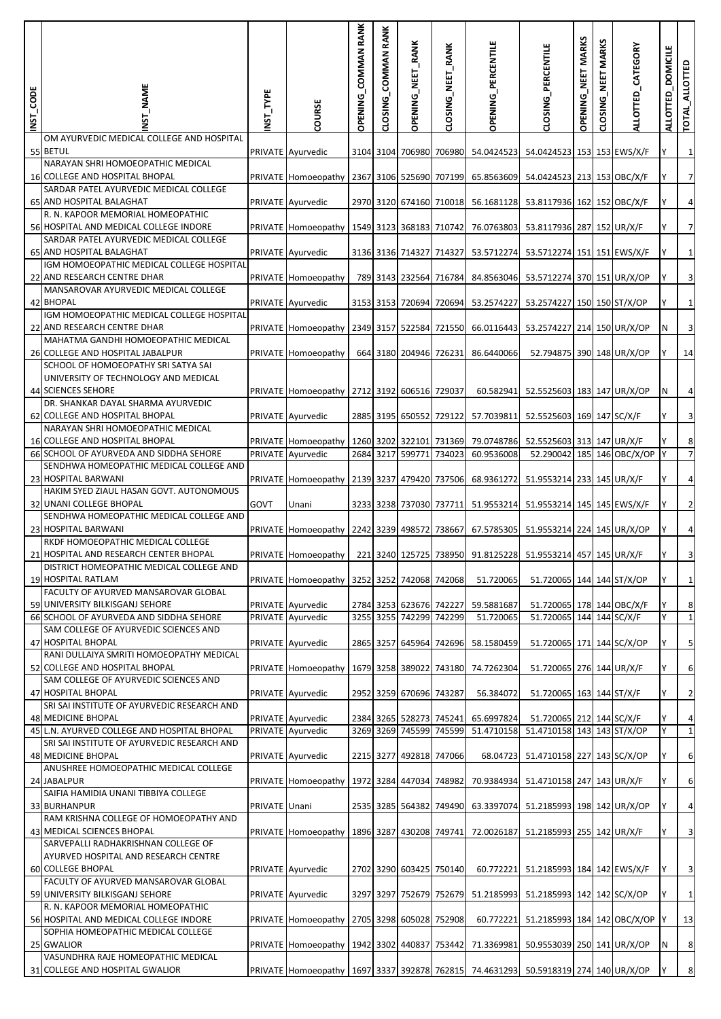| INST_CODE | <b>NAME</b>                                                                    | NST_TYPE      | COURSE                                                                            | <b>OPENING_COMMAN RANK</b> | CLOSING_COMMAN RANK | OPENING_NEET_RANK                        | CLOSING_NEET_RANK | OPENING_PERCENTILE                 | CLOSING_PERCENTILE                                            | OPENING_NEET MARKS | <b>MARKS</b><br>MET<br><b>CLOSING</b> | ALLOTTED_CATEGORY | <b>DOMICILE</b><br>ALLOTTED | TOTAL_ALLOTTED            |
|-----------|--------------------------------------------------------------------------------|---------------|-----------------------------------------------------------------------------------|----------------------------|---------------------|------------------------------------------|-------------------|------------------------------------|---------------------------------------------------------------|--------------------|---------------------------------------|-------------------|-----------------------------|---------------------------|
|           | OM AYURVEDIC MEDICAL COLLEGE AND HOSPITAL<br>55 BETUL                          |               | PRIVATE Ayurvedic                                                                 |                            |                     | 3104 3104 706980 706980                  |                   | 54.0424523                         | 54.0424523 153 153 EWS/X/F                                    |                    |                                       |                   |                             | $\mathbf{1}$              |
|           | NARAYAN SHRI HOMOEOPATHIC MEDICAL<br>16 COLLEGE AND HOSPITAL BHOPAL            |               | PRIVATE Homoeopathy                                                               |                            |                     | 2367 3106 525690 707199                  |                   | 65.8563609                         | 54.0424523 213 153 OBC/X/F                                    |                    |                                       |                   |                             | $\overline{7}$            |
|           | SARDAR PATEL AYURVEDIC MEDICAL COLLEGE<br>65 AND HOSPITAL BALAGHAT             |               | PRIVATE Ayurvedic                                                                 |                            |                     | 2970 3120 674160 710018                  |                   | 56.1681128                         | 53.8117936 162 152 OBC/X/F                                    |                    |                                       |                   |                             | $\overline{a}$            |
|           | R. N. KAPOOR MEMORIAL HOMEOPATHIC<br>56 HOSPITAL AND MEDICAL COLLEGE INDORE    |               | PRIVATE Homoeopathy                                                               |                            |                     | 1549 3123 368183 710742                  |                   | 76.0763803                         | 53.8117936 287 152 UR/X/F                                     |                    |                                       |                   |                             | $\overline{7}$            |
|           | SARDAR PATEL AYURVEDIC MEDICAL COLLEGE<br>65 AND HOSPITAL BALAGHAT             |               | PRIVATE Ayurvedic                                                                 |                            |                     | 3136 3136 714327 714327                  |                   | 53.5712274                         | 53.5712274 151 151 EWS/X/F                                    |                    |                                       |                   |                             | $\mathbf{1}$              |
|           | IGM HOMOEOPATHIC MEDICAL COLLEGE HOSPITAL<br>22 AND RESEARCH CENTRE DHAR       |               | PRIVATE Homoeopathy                                                               |                            |                     | 789 3143 232564 716784                   |                   | 84.8563046                         | 53.5712274 370 151 UR/X/OP                                    |                    |                                       |                   | Y                           | $\mathbf{3}$              |
|           | MANSAROVAR AYURVEDIC MEDICAL COLLEGE<br>42 BHOPAL                              |               | PRIVATE Ayurvedic                                                                 |                            |                     | 3153 3153 720694 720694                  |                   | 53.2574227                         | 53.2574227 150 150 ST/X/OP                                    |                    |                                       |                   |                             | $1\vert$                  |
|           | IGM HOMOEOPATHIC MEDICAL COLLEGE HOSPITAL<br>22 AND RESEARCH CENTRE DHAR       |               | PRIVATE Homoeopathy                                                               |                            |                     | 2349 3157 522584 721550                  |                   | 66.0116443                         | 53.2574227 214 150 UR/X/OP                                    |                    |                                       |                   | N                           | $\mathbf{3}$              |
|           | <b>MAHATMA GANDHI HOMOEOPATHIC MEDICAL</b><br>26 COLLEGE AND HOSPITAL JABALPUR |               | PRIVATE Homoeopathy                                                               |                            |                     | 664 3180 204946 726231                   |                   | 86.6440066                         | 52.794875 390 148 UR/X/OP                                     |                    |                                       |                   |                             | 14                        |
|           | SCHOOL OF HOMOEOPATHY SRI SATYA SAI<br>UNIVERSITY OF TECHNOLOGY AND MEDICAL    |               |                                                                                   |                            |                     |                                          |                   |                                    |                                                               |                    |                                       |                   |                             |                           |
|           | 44 SCIENCES SEHORE<br>DR. SHANKAR DAYAL SHARMA AYURVEDIC                       |               | PRIVATE Homoeopathy                                                               |                            |                     | 2712 3192 606516 729037                  |                   | 60.582941                          | 52.5525603 183 147 UR/X/OP                                    |                    |                                       |                   | N                           | $\overline{a}$            |
|           | 62 COLLEGE AND HOSPITAL BHOPAL<br>NARAYAN SHRI HOMOEOPATHIC MEDICAL            |               | PRIVATE Ayurvedic                                                                 |                            | 2885 3195           |                                          | 650552 729122     | 57.7039811                         | 52.5525603 169 147 SC/X/F                                     |                    |                                       |                   |                             | $\mathbf{3}$              |
|           | 16 COLLEGE AND HOSPITAL BHOPAL<br>66 SCHOOL OF AYURVEDA AND SIDDHA SEHORE      |               | PRIVATE Homoeopathy<br>PRIVATE Ayurvedic                                          | 2684 3217                  |                     | 1260 3202 322101 731369<br>599771 734023 |                   | 79.0748786<br>60.9536008           | 52.5525603 313 147 UR/X/F<br>52.290042 185 146 OBC/X/OP       |                    |                                       |                   | IY.                         | $\bf 8$<br>$\overline{7}$ |
|           | SENDHWA HOMEOPATHIC MEDICAL COLLEGE AND<br>23 HOSPITAL BARWANI                 |               | PRIVATE Homoeopathy                                                               |                            |                     | 2139 3237 479420 737506                  |                   | 68.9361272                         | 51.9553214 233 145 UR/X/F                                     |                    |                                       |                   |                             | $\overline{a}$            |
|           | HAKIM SYED ZIAUL HASAN GOVT. AUTONOMOUS<br>32 UNANI COLLEGE BHOPAL             | GOVT          | Unani                                                                             |                            |                     | 3233 3238 737030 737711                  |                   | 51.9553214                         | 51.9553214 145 145 EWS/X/F                                    |                    |                                       |                   |                             | $\overline{c}$            |
|           | SENDHWA HOMEOPATHIC MEDICAL COLLEGE AND<br>23 HOSPITAL BARWANI                 |               | PRIVATE Homoeopathy                                                               |                            |                     | 2242 3239 498572 738667                  |                   | 67.5785305                         | 51.9553214 224 145 UR/X/OP                                    |                    |                                       |                   |                             | $\overline{a}$            |
|           | RKDF HOMOEOPATHIC MEDICAL COLLEGE<br>21 HOSPITAL AND RESEARCH CENTER BHOPAL    |               | PRIVATE Homoeopathy                                                               |                            |                     |                                          |                   |                                    | 221 3240 125725 738950 91.8125228 51.9553214 457 145 UR/X/F   |                    |                                       |                   |                             | $\overline{\mathbf{3}}$   |
|           | DISTRICT HOMEOPATHIC MEDICAL COLLEGE AND<br>19 HOSPITAL RATLAM                 |               | PRIVATE Homoeopathy                                                               |                            |                     | 3252 3252 742068 742068                  |                   | 51.720065                          | 51.720065 144 144 ST/X/OP                                     |                    |                                       |                   | Y                           | $\mathbf{1}$              |
|           | FACULTY OF AYURVED MANSAROVAR GLOBAL<br>59 UNIVERSITY BILKISGANJ SEHORE        |               | PRIVATE Ayurvedic                                                                 |                            |                     | 2784 3253 623676 742227                  |                   | 59.5881687                         | 51.720065 178 144 OBC/X/F                                     |                    |                                       |                   | Υ                           | $\boldsymbol{8}$          |
|           | 66 SCHOOL OF AYURVEDA AND SIDDHA SEHORE                                        |               | PRIVATE Ayurvedic                                                                 | 3255 3255                  |                     | 742299 742299                            |                   | 51.720065                          | 51.720065 144 144 SC/X/F                                      |                    |                                       |                   | Y                           | $\mathbf{1}$              |
|           | SAM COLLEGE OF AYURVEDIC SCIENCES AND<br>47 HOSPITAL BHOPAL                    |               | PRIVATE Ayurvedic                                                                 |                            | 2865 3257           |                                          | 645964 742696     | 58.1580459                         | 51.720065 171 144 SC/X/OP                                     |                    |                                       |                   |                             | $\overline{\mathbf{5}}$   |
|           | RANI DULLAIYA SMRITI HOMOEOPATHY MEDICAL<br>52 COLLEGE AND HOSPITAL BHOPAL     |               | PRIVATE Homoeopathy                                                               |                            |                     |                                          |                   | 1679 3258 389022 743180 74.7262304 | 51.720065 276 144 UR/X/F                                      |                    |                                       |                   |                             | 6                         |
|           | SAM COLLEGE OF AYURVEDIC SCIENCES AND<br>47 HOSPITAL BHOPAL                    |               | PRIVATE Ayurvedic                                                                 |                            |                     | 2952 3259 670696 743287                  |                   | 56.384072                          | 51.720065 163 144 ST/X/F                                      |                    |                                       |                   | Y                           | $\overline{2}$            |
|           | SRI SAI INSTITUTE OF AYURVEDIC RESEARCH AND<br>48 MEDICINE BHOPAL              |               | PRIVATE Ayurvedic                                                                 |                            |                     | 2384 3265 528273 745241                  |                   | 65.6997824                         | 51.720065 212 144 SC/X/F                                      |                    |                                       |                   |                             | $\overline{a}$            |
|           | 45 L.N. AYURVED COLLEGE AND HOSPITAL BHOPAL                                    |               | PRIVATE Ayurvedic                                                                 |                            |                     | 3269 3269 745599 745599                  |                   | 51.4710158                         | 51.4710158 143 143 ST/X/OP                                    |                    |                                       |                   |                             | $1\vert$                  |
|           | SRI SAI INSTITUTE OF AYURVEDIC RESEARCH AND<br>48 MEDICINE BHOPAL              |               | PRIVATE Ayurvedic                                                                 |                            |                     | 2215 3277 492818 747066                  |                   |                                    | 68.04723 51.4710158 227 143 SC/X/OP                           |                    |                                       |                   | Υ                           | 6                         |
|           | ANUSHREE HOMOEOPATHIC MEDICAL COLLEGE<br>24 JABALPUR                           |               | PRIVATE Homoeopathy                                                               |                            |                     |                                          |                   |                                    | 1972 3284 447034 748982 70.9384934 51.4710158 247 143 UR/X/F  |                    |                                       |                   |                             | 6                         |
|           | SAIFIA HAMIDIA UNANI TIBBIYA COLLEGE<br>33 BURHANPUR                           | PRIVATE Unani |                                                                                   |                            |                     |                                          |                   |                                    | 2535 3285 564382 749490 63.3397074 51.2185993 198 142 UR/X/OP |                    |                                       |                   | Y                           | $\overline{a}$            |
|           | RAM KRISHNA COLLEGE OF HOMOEOPATHY AND<br>43 MEDICAL SCIENCES BHOPAL           |               | PRIVATE Homoeopathy                                                               |                            |                     |                                          |                   |                                    | 1896 3287 430208 749741 72.0026187 51.2185993 255 142 UR/X/F  |                    |                                       |                   |                             | $\overline{\mathbf{3}}$   |
|           | SARVEPALLI RADHAKRISHNAN COLLEGE OF<br>AYURVED HOSPITAL AND RESEARCH CENTRE    |               |                                                                                   |                            |                     |                                          |                   |                                    |                                                               |                    |                                       |                   |                             |                           |
|           | <b>60 COLLEGE BHOPAL</b><br>FACULTY OF AYURVED MANSAROVAR GLOBAL               |               | PRIVATE Ayurvedic                                                                 |                            |                     | 2702 3290 603425 750140                  |                   |                                    | 60.772221 51.2185993 184 142 EWS/X/F                          |                    |                                       |                   | Y                           | $\overline{\mathbf{3}}$   |
|           | 59 UNIVERSITY BILKISGANJ SEHORE<br>R. N. KAPOOR MEMORIAL HOMEOPATHIC           |               | PRIVATE Ayurvedic                                                                 |                            |                     |                                          |                   | 3297 3297 752679 752679 51.2185993 | 51.2185993 142 142 SC/X/OP                                    |                    |                                       |                   |                             | $\mathbf{1}$              |
|           | 56 HOSPITAL AND MEDICAL COLLEGE INDORE<br>SOPHIA HOMEOPATHIC MEDICAL COLLEGE   |               | PRIVATE Homoeopathy                                                               |                            |                     | 2705 3298 605028 752908                  |                   | 60.772221                          | 51.2185993 184 142 OBC/X/OP                                   |                    |                                       |                   |                             | 13                        |
|           | 25 GWALIOR<br>VASUNDHRA RAJE HOMEOPATHIC MEDICAL                               |               | PRIVATE Homoeopathy                                                               |                            |                     |                                          |                   | 1942 3302 440837 753442 71.3369981 | 50.9553039 250 141 UR/X/OP                                    |                    |                                       |                   | N                           | 8                         |
|           | 31 COLLEGE AND HOSPITAL GWALIOR                                                |               | PRIVATE Homoeopathy 1697 3337 392878 762815 74.4631293 50.5918319 274 140 UR/X/OP |                            |                     |                                          |                   |                                    |                                                               |                    |                                       |                   |                             | $\boldsymbol{8}$          |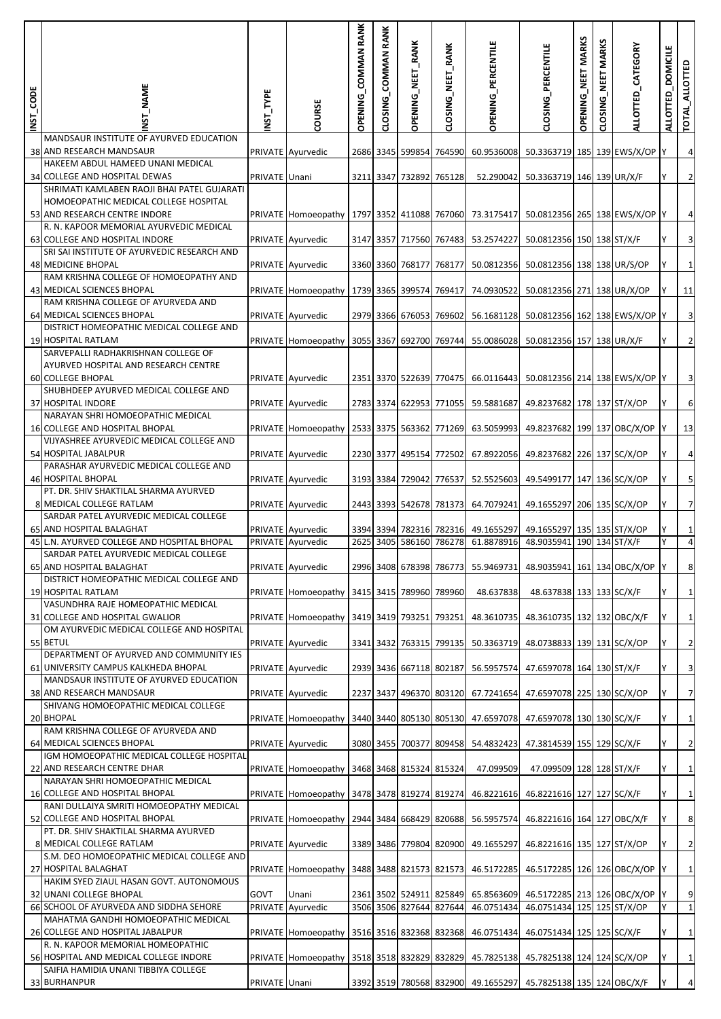| INST_CODE | <b>T_NAME</b>                                                                   | NST_TYPE      | COURSE                                 | OPENING_COMMAN RANK | CLOSING_COMMAN RANK | OPENING_NEET_RANK                 | CLOSING_NEET_RANK | OPENING_PERCENTILE                 | CLOSING_PERCENTILE                                               | OPENING_NEET MARKS | CLOSING_NEET MARKS | ALLOTTED_CATEGORY | <b>DOMICILE</b><br>ALLOTTED | TOTAL_ALLOTTED             |
|-----------|---------------------------------------------------------------------------------|---------------|----------------------------------------|---------------------|---------------------|-----------------------------------|-------------------|------------------------------------|------------------------------------------------------------------|--------------------|--------------------|-------------------|-----------------------------|----------------------------|
|           | MANDSAUR INSTITUTE OF AYURVED EDUCATION<br>38 AND RESEARCH MANDSAUR             |               | PRIVATE Ayurvedic                      |                     |                     | 2686 3345 599854 764590           |                   | 60.9536008                         | 50.3363719 185 139 EWS/X/OP Y                                    |                    |                    |                   |                             | $\overline{a}$             |
|           | HAKEEM ABDUL HAMEED UNANI MEDICAL                                               |               |                                        |                     |                     |                                   |                   |                                    |                                                                  |                    |                    |                   |                             |                            |
|           | 34 COLLEGE AND HOSPITAL DEWAS<br>SHRIMATI KAMLABEN RAOJI BHAI PATEL GUJARATI    | PRIVATE Unani |                                        |                     |                     | 3211 3347 732892 765128           |                   | 52.290042                          | 50.3363719 146 139 UR/X/F                                        |                    |                    |                   |                             | $\overline{2}$             |
|           | HOMOEOPATHIC MEDICAL COLLEGE HOSPITAL                                           |               |                                        |                     |                     |                                   |                   |                                    |                                                                  |                    |                    |                   |                             |                            |
|           | 53 AND RESEARCH CENTRE INDORE<br>R. N. KAPOOR MEMORIAL AYURVEDIC MEDICAL        |               | PRIVATE Homoeopathy                    |                     |                     |                                   |                   | 1797 3352 411088 767060 73.3175417 | 50.0812356 265 138 EWS/X/OP Y                                    |                    |                    |                   |                             | $\overline{a}$             |
|           | 63 COLLEGE AND HOSPITAL INDORE<br>SRI SAI INSTITUTE OF AYURVEDIC RESEARCH AND   |               | PRIVATE Ayurvedic                      |                     |                     | 3147 3357 717560 767483           |                   | 53.2574227                         | 50.0812356 150 138 ST/X/F                                        |                    |                    |                   |                             | $\overline{\mathbf{3}}$    |
|           | 48 MEDICINE BHOPAL                                                              |               | PRIVATE Ayurvedic                      |                     |                     | 3360 3360 768177 768177           |                   | 50.0812356                         | 50.0812356 138 138 UR/S/OP                                       |                    |                    |                   | Y                           | $\mathbf{1}$               |
|           | RAM KRISHNA COLLEGE OF HOMOEOPATHY AND<br>43 MEDICAL SCIENCES BHOPAL            |               | PRIVATE Homoeopathy                    |                     |                     | 1739 3365 399574 769417           |                   | 74.0930522                         | 50.0812356 271 138 UR/X/OP                                       |                    |                    |                   |                             | 11                         |
|           | RAM KRISHNA COLLEGE OF AYURVEDA AND                                             |               |                                        |                     |                     |                                   |                   |                                    |                                                                  |                    |                    |                   |                             |                            |
|           | 64 MEDICAL SCIENCES BHOPAL<br>DISTRICT HOMEOPATHIC MEDICAL COLLEGE AND          |               | PRIVATE Ayurvedic                      |                     |                     | 2979 3366 676053 769602           |                   | 56.1681128                         | 50.0812356 162 138 EWS/X/OP Y                                    |                    |                    |                   |                             | $\overline{\mathbf{3}}$    |
|           | 19 HOSPITAL RATLAM                                                              |               | PRIVATE Homoeopathy                    |                     |                     | 3055 3367 692700 769744           |                   | 55.0086028                         | 50.0812356 157 138 UR/X/F                                        |                    |                    |                   |                             | $\overline{2}$             |
|           | SARVEPALLI RADHAKRISHNAN COLLEGE OF<br>AYURVED HOSPITAL AND RESEARCH CENTRE     |               |                                        |                     |                     |                                   |                   |                                    |                                                                  |                    |                    |                   |                             |                            |
|           | <b>60 COLLEGE BHOPAL</b>                                                        |               | PRIVATE Ayurvedic                      |                     |                     | 2351 3370 522639 770475           |                   | 66.0116443                         | 50.0812356 214 138 EWS/X/OP Y                                    |                    |                    |                   |                             | $\overline{\mathbf{3}}$    |
|           | SHUBHDEEP AYURVED MEDICAL COLLEGE AND<br>37 HOSPITAL INDORE                     |               | PRIVATE Ayurvedic                      |                     |                     | 2783 3374 622953 771055           |                   | 59.5881687                         | 49.8237682 178 137 ST/X/OP                                       |                    |                    |                   |                             | 6                          |
|           | NARAYAN SHRI HOMOEOPATHIC MEDICAL<br>16 COLLEGE AND HOSPITAL BHOPAL             |               |                                        |                     |                     |                                   |                   |                                    |                                                                  |                    |                    |                   |                             |                            |
|           | VIJYASHREE AYURVEDIC MEDICAL COLLEGE AND                                        |               | PRIVATE Homoeopathy                    |                     |                     | 2533 3375 563362 771269           |                   | 63.5059993                         | 49.8237682 199 137 OBC/X/OP                                      |                    |                    |                   |                             | 13                         |
|           | 54 HOSPITAL JABALPUR<br>PARASHAR AYURVEDIC MEDICAL COLLEGE AND                  |               | PRIVATE Ayurvedic                      |                     |                     | 2230 3377 495154 772502           |                   | 67.8922056                         | 49.8237682 226 137 SC/X/OP                                       |                    |                    |                   |                             | $\overline{a}$             |
|           | 46 HOSPITAL BHOPAL                                                              |               | PRIVATE Ayurvedic                      |                     |                     | 3193 3384 729042 776537           |                   | 52.5525603                         | 49.5499177 147 136 SC/X/OP                                       |                    |                    |                   |                             | 5                          |
|           | PT. DR. SHIV SHAKTILAL SHARMA AYURVED<br>8 MEDICAL COLLEGE RATLAM               |               | PRIVATE Ayurvedic                      |                     |                     | 2443 3393 542678 781373           |                   | 64.7079241                         | 49.1655297 206 135 SC/X/OP                                       |                    |                    |                   |                             | $\overline{7}$             |
|           | SARDAR PATEL AYURVEDIC MEDICAL COLLEGE                                          |               |                                        |                     |                     |                                   |                   |                                    |                                                                  |                    |                    |                   |                             |                            |
|           | 65 AND HOSPITAL BALAGHAT<br>45 L.N. AYURVED COLLEGE AND HOSPITAL BHOPAL         |               | PRIVATE Ayurvedic<br>PRIVATE Ayurvedic | 2625 3405           |                     | 3394 3394 782316 782316<br>586160 | 786278            | 49.1655297<br>61.8878916           | 49.1655297 135 135 ST/X/OP<br>48.9035941                         |                    |                    | 190 134 ST/X/F    |                             | $1\vert$<br>$\overline{4}$ |
|           | SARDAR PATEL AYURVEDIC MEDICAL COLLEGE                                          |               |                                        |                     |                     |                                   |                   |                                    |                                                                  |                    |                    |                   |                             |                            |
|           | 65 AND HOSPITAL BALAGHAT<br>DISTRICT HOMEOPATHIC MEDICAL COLLEGE AND            |               | PRIVATE Ayurvedic                      |                     |                     |                                   |                   |                                    | 2996 3408 678398 786773 55.9469731 48.9035941 161 134 OBC/X/OP Y |                    |                    |                   |                             | 8                          |
|           | 19 HOSPITAL RATLAM<br>VASUNDHRA RAJE HOMEOPATHIC MEDICAL                        |               | PRIVATE Homoeopathy                    |                     |                     | 3415 3415 789960 789960           |                   | 48.637838                          | 48.637838 133 133 SC/X/F                                         |                    |                    |                   |                             | $\mathbf{1}$               |
|           | 31 COLLEGE AND HOSPITAL GWALIOR                                                 |               | PRIVATE Homoeopathy                    |                     |                     | 3419 3419 793251 793251           |                   | 48.3610735                         | 48.3610735 132 132 OBC/X/F                                       |                    |                    |                   |                             | $\mathbf{1}$               |
|           | OM AYURVEDIC MEDICAL COLLEGE AND HOSPITAL<br>55 BETUL                           |               | PRIVATE Ayurvedic                      |                     |                     |                                   |                   | 3341 3432 763315 799135 50.3363719 | 48.0738833 139 131 SC/X/OP                                       |                    |                    |                   | Y                           | $\overline{2}$             |
|           | DEPARTMENT OF AYURVED AND COMMUNITY IES                                         |               |                                        |                     |                     |                                   |                   |                                    |                                                                  |                    |                    |                   |                             |                            |
|           | 61 UNIVERSITY CAMPUS KALKHEDA BHOPAL<br>MANDSAUR INSTITUTE OF AYURVED EDUCATION |               | PRIVATE Ayurvedic                      |                     |                     | 2939 3436 667118 802187           |                   | 56.5957574                         | 47.6597078 164 130 ST/X/F                                        |                    |                    |                   |                             | $\overline{\mathbf{3}}$    |
|           | 38 AND RESEARCH MANDSAUR                                                        |               | PRIVATE Ayurvedic                      |                     |                     |                                   |                   |                                    | 2237 3437 496370 803120 67.7241654 47.6597078 225 130 SC/X/OP    |                    |                    |                   | Υ                           | $\overline{7}$             |
|           | SHIVANG HOMOEOPATHIC MEDICAL COLLEGE<br>20 BHOPAL                               |               | PRIVATE Homoeopathy                    |                     |                     |                                   |                   | 3440 3440 805130 805130 47.6597078 | 47.6597078 130 130 SC/X/F                                        |                    |                    |                   |                             | $\mathbf{1}$               |
|           | RAM KRISHNA COLLEGE OF AYURVEDA AND<br>64 MEDICAL SCIENCES BHOPAL               |               | PRIVATE Ayurvedic                      |                     |                     |                                   |                   | 3080 3455 700377 809458 54.4832423 |                                                                  |                    |                    |                   | Y                           |                            |
|           | IGM HOMOEOPATHIC MEDICAL COLLEGE HOSPITAL                                       |               |                                        |                     |                     |                                   |                   |                                    | 47.3814539 155 129 SC/X/F                                        |                    |                    |                   |                             | $\overline{2}$             |
|           | 22 AND RESEARCH CENTRE DHAR<br>NARAYAN SHRI HOMOEOPATHIC MEDICAL                |               | PRIVATE Homoeopathy                    |                     |                     | 3468 3468 815324 815324           |                   | 47.099509                          | 47.099509 128 128 ST/X/F                                         |                    |                    |                   |                             | $\mathbf{1}$               |
|           | 16 COLLEGE AND HOSPITAL BHOPAL                                                  |               | PRIVATE Homoeopathy                    |                     |                     |                                   |                   | 3478 3478 819274 819274 46.8221616 | 46.8221616 127 127 SC/X/F                                        |                    |                    |                   |                             | $\mathbf{1}$               |
|           | RANI DULLAIYA SMRITI HOMOEOPATHY MEDICAL<br>52 COLLEGE AND HOSPITAL BHOPAL      |               | PRIVATE Homoeopathy                    |                     |                     |                                   |                   | 2944 3484 668429 820688 56.5957574 | 46.8221616 164 127 OBC/X/F                                       |                    |                    |                   |                             | $\boldsymbol{8}$           |
|           | PT. DR. SHIV SHAKTILAL SHARMA AYURVED                                           |               |                                        |                     |                     |                                   |                   |                                    |                                                                  |                    |                    |                   |                             |                            |
|           | 8 MEDICAL COLLEGE RATLAM<br>S.M. DEO HOMOEOPATHIC MEDICAL COLLEGE AND           |               | PRIVATE Ayurvedic                      |                     |                     | 3389 3486 779804 820900           |                   | 49.1655297                         | 46.8221616 135 127 ST/X/OP                                       |                    |                    |                   |                             | $\overline{2}$             |
|           | 27 HOSPITAL BALAGHAT                                                            |               | PRIVATE Homoeopathy                    |                     |                     |                                   |                   |                                    | 3488 3488 821573 821573 46.5172285 46.5172285 126 126 OBC/X/OP   |                    |                    |                   |                             | $\mathbf{1}$               |
|           | HAKIM SYED ZIAUL HASAN GOVT. AUTONOMOUS<br>32 UNANI COLLEGE BHOPAL              | GOVT          | Unani                                  |                     |                     |                                   |                   | 2361 3502 524911 825849 65.8563609 | 46.5172285 213 126 OBC/X/OP                                      |                    |                    |                   | <b>IY</b>                   | $9\,$                      |
|           | 66 SCHOOL OF AYURVEDA AND SIDDHA SEHORE<br>MAHATMA GANDHI HOMOEOPATHIC MEDICAL  |               | PRIVATE Ayurvedic                      |                     |                     | 3506 3506 827644 827644           |                   | 46.0751434                         | 46.0751434 125 125 ST/X/OP                                       |                    |                    |                   |                             | $\mathbf{1}$               |
|           | 26 COLLEGE AND HOSPITAL JABALPUR                                                |               | PRIVATE Homoeopathy                    |                     |                     |                                   |                   | 3516 3516 832368 832368 46.0751434 | 46.0751434 125 125 SC/X/F                                        |                    |                    |                   | Y                           | $\mathbf{1}$               |
|           | R. N. KAPOOR MEMORIAL HOMEOPATHIC<br>56 HOSPITAL AND MEDICAL COLLEGE INDORE     |               | PRIVATE Homoeopathy                    |                     |                     | 3518 3518 832829 832829           |                   | 45.7825138                         | 45.7825138 124 124 SC/X/OP                                       |                    |                    |                   |                             | $\mathbf{1}$               |
|           | SAIFIA HAMIDIA UNANI TIBBIYA COLLEGE                                            |               |                                        |                     |                     |                                   |                   |                                    |                                                                  |                    |                    |                   |                             |                            |
|           | 33 BURHANPUR                                                                    | PRIVATE Unani |                                        |                     |                     |                                   |                   |                                    | 3392 3519 780568 832900 49.1655297 45.7825138 135 124 OBC/X/F    |                    |                    |                   |                             | $\overline{a}$             |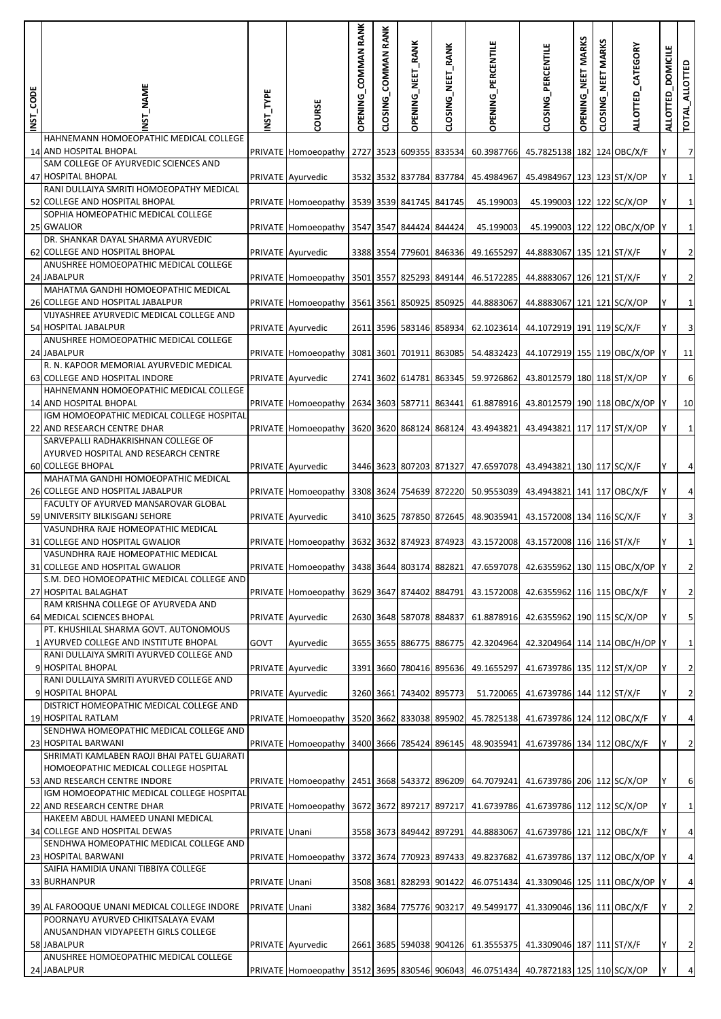| INST_CODE | _NAME                                                                                | NST_TYPE      | COURSE                                                                               | OPENING_COMMAN RANK | CLOSING_COMMAN RANK | OPENING_NEET_RANK       | CLOSING_NEET_RANK | OPENING_PERCENTILE                                           | CLOSING_PERCENTILE                       | OPENING_NEET MARKS | <b>MARKS</b><br>MET<br>CLOSING | ALLOTTED_CATEGORY | ALLOTTED_DOMICILE | TOTAL_ALLOTTED          |
|-----------|--------------------------------------------------------------------------------------|---------------|--------------------------------------------------------------------------------------|---------------------|---------------------|-------------------------|-------------------|--------------------------------------------------------------|------------------------------------------|--------------------|--------------------------------|-------------------|-------------------|-------------------------|
|           | HAHNEMANN HOMOEOPATHIC MEDICAL COLLEGE<br>14 AND HOSPITAL BHOPAL                     |               | PRIVATE Homoeopathy                                                                  |                     |                     | 2727 3523 609355 833534 |                   | 60.3987766                                                   | 45.7825138 182 124 OBC/X/F               |                    |                                |                   |                   | $\overline{7}$          |
|           | SAM COLLEGE OF AYURVEDIC SCIENCES AND<br>47 HOSPITAL BHOPAL                          |               | PRIVATE Ayurvedic                                                                    |                     |                     | 3532 3532 837784 837784 |                   | 45.4984967                                                   | 45.4984967 123 123 ST/X/OP               |                    |                                |                   |                   | $\mathbf{1}$            |
|           | RANI DULLAIYA SMRITI HOMOEOPATHY MEDICAL<br>52 COLLEGE AND HOSPITAL BHOPAL           |               | PRIVATE Homoeopathy                                                                  |                     |                     | 3539 3539 841745 841745 |                   | 45.199003                                                    | 45.199003 122 122 SC/X/OP                |                    |                                |                   |                   | $\mathbf{1}$            |
|           | SOPHIA HOMEOPATHIC MEDICAL COLLEGE<br>25 GWALIOR                                     |               | PRIVATE Homoeopathy                                                                  |                     |                     | 3547 3547 844424 844424 |                   | 45.199003                                                    | 45.199003 122 122 OBC/X/OP               |                    |                                |                   |                   | $\mathbf{1}$            |
|           | DR. SHANKAR DAYAL SHARMA AYURVEDIC<br>62 COLLEGE AND HOSPITAL BHOPAL                 |               | PRIVATE Ayurvedic                                                                    |                     |                     | 3388 3554 779601 846336 |                   | 49.1655297                                                   | 44.8883067 135 121 ST/X/F                |                    |                                |                   |                   | $\overline{a}$          |
|           | ANUSHREE HOMOEOPATHIC MEDICAL COLLEGE<br>24 JABALPUR                                 |               | PRIVATE Homoeopathy                                                                  |                     |                     |                         |                   | 3501 3557 825293 849144 46.5172285                           | 44.8883067 126 121 ST/X/F                |                    |                                |                   |                   | $\overline{c}$          |
|           | MAHATMA GANDHI HOMOEOPATHIC MEDICAL<br>26 COLLEGE AND HOSPITAL JABALPUR              |               | PRIVATE Homoeopathy                                                                  |                     |                     | 3561 3561 850925 850925 |                   | 44.8883067                                                   | 44.8883067 121 121 SC/X/OP               |                    |                                |                   |                   | $1\vert$                |
|           | VIJYASHREE AYURVEDIC MEDICAL COLLEGE AND<br>54 HOSPITAL JABALPUR                     |               | PRIVATE Ayurvedic                                                                    |                     |                     | 2611 3596 583146 858934 |                   | 62.1023614                                                   | 44.1072919 191 119 SC/X/F                |                    |                                |                   |                   | $\overline{\mathbf{3}}$ |
|           | ANUSHREE HOMOEOPATHIC MEDICAL COLLEGE<br>24 JABALPUR                                 |               | PRIVATE Homoeopathy                                                                  |                     |                     | 3081 3601 701911 863085 |                   | 54.4832423                                                   | 44.1072919 155 119 OBC/X/OP              |                    |                                |                   |                   | 11                      |
|           | R. N. KAPOOR MEMORIAL AYURVEDIC MEDICAL<br>63 COLLEGE AND HOSPITAL INDORE            |               | PRIVATE Ayurvedic                                                                    |                     |                     | 2741 3602 614781 863345 |                   | 59.9726862                                                   | 43.8012579 180 118 ST/X/OP               |                    |                                |                   |                   | 6                       |
|           | HAHNEMANN HOMOEOPATHIC MEDICAL COLLEGE<br>14 AND HOSPITAL BHOPAL                     |               | PRIVATE Homoeopathy                                                                  |                     |                     | 2634 3603 587711 863441 |                   | 61.8878916                                                   | 43.8012579 190 118 OBC/X/OP              |                    |                                |                   |                   | 10                      |
|           | IGM HOMOEOPATHIC MEDICAL COLLEGE HOSPITAL<br>22 AND RESEARCH CENTRE DHAR             |               | PRIVATE Homoeopathy                                                                  |                     |                     | 3620 3620 868124 868124 |                   | 43.4943821                                                   | 43.4943821 117 117 ST/X/OP               |                    |                                |                   |                   | $\mathbf{1}$            |
|           | SARVEPALLI RADHAKRISHNAN COLLEGE OF<br>AYURVED HOSPITAL AND RESEARCH CENTRE          |               |                                                                                      |                     |                     |                         |                   |                                                              |                                          |                    |                                |                   |                   |                         |
|           | <b>60 COLLEGE BHOPAL</b><br>MAHATMA GANDHI HOMOEOPATHIC MEDICAL                      |               | PRIVATE Ayurvedic                                                                    |                     |                     |                         |                   | 3446 3623 807203 871327 47.6597078 43.4943821 130 117 SC/X/F |                                          |                    |                                |                   | Y                 | $\overline{a}$          |
|           | 26 COLLEGE AND HOSPITAL JABALPUR<br>FACULTY OF AYURVED MANSAROVAR GLOBAL             |               | PRIVATE Homoeopathy                                                                  |                     |                     |                         |                   | 3308 3624 754639 872220 50.9553039                           | 43.4943821 141 117 OBC/X/F               |                    |                                |                   |                   | $\overline{4}$          |
|           | 59 UNIVERSITY BILKISGANJ SEHORE<br>VASUNDHRA RAJE HOMEOPATHIC MEDICAL                |               | PRIVATE Ayurvedic                                                                    |                     |                     | 3410 3625 787850 872645 |                   | 48.9035941                                                   | 43.1572008 134 116 SC/X/F                |                    |                                |                   |                   | $\overline{\mathbf{3}}$ |
|           | 31 COLLEGE AND HOSPITAL GWALIOR<br>VASUNDHRA RAJE HOMEOPATHIC MEDICAL                |               | PRIVATE Homoeopathy                                                                  |                     |                     | 3632 3632 874923 874923 |                   |                                                              | 43.1572008 43.1572008 116 116 ST/X/F     |                    |                                |                   |                   | $1\overline{ }$         |
|           | 31 COLLEGE AND HOSPITAL GWALIOR                                                      |               | PRIVATE Homoeopathy 3438 3644 803174 882821 47.6597078 42.6355962 130 115 OBC/X/OP Y |                     |                     |                         |                   |                                                              |                                          |                    |                                |                   |                   | $\overline{2}$          |
|           | S.M. DEO HOMOEOPATHIC MEDICAL COLLEGE AND<br>27 HOSPITAL BALAGHAT                    |               | PRIVATE Homoeopathy 3629 3647 874402 884791 43.1572008 42.6355962 116 115 OBC/X/F    |                     |                     |                         |                   |                                                              |                                          |                    |                                |                   |                   | $\overline{2}$          |
|           | RAM KRISHNA COLLEGE OF AYURVEDA AND<br>64 MEDICAL SCIENCES BHOPAL                    |               | PRIVATE Ayurvedic                                                                    |                     |                     | 2630 3648 587078 884837 |                   | 61.8878916                                                   | 42.6355962 190 115 SC/X/OP               |                    |                                |                   |                   | 5                       |
|           | PT. KHUSHILAL SHARMA GOVT. AUTONOMOUS<br>1 AYURVED COLLEGE AND INSTITUTE BHOPAL      | GOVT          | Ayurvedic                                                                            |                     |                     | 3655 3655 886775 886775 |                   |                                                              | 42.3204964 42.3204964 114 114 OBC/H/OP Y |                    |                                |                   |                   | $\mathbf{1}$            |
|           | RANI DULLAIYA SMRITI AYURVED COLLEGE AND<br>9 HOSPITAL BHOPAL                        |               | PRIVATE Ayurvedic                                                                    |                     |                     | 3391 3660 780416 895636 |                   | 49.1655297                                                   | 41.6739786 135 112 ST/X/OP               |                    |                                |                   |                   | $\overline{2}$          |
|           | RANI DULLAIYA SMRITI AYURVED COLLEGE AND<br>9 HOSPITAL BHOPAL                        |               | PRIVATE Ayurvedic                                                                    |                     |                     | 3260 3661 743402 895773 |                   | 51.720065                                                    | 41.6739786 144 112 ST/X/F                |                    |                                |                   | Y                 | $\overline{2}$          |
|           | DISTRICT HOMEOPATHIC MEDICAL COLLEGE AND<br>19 HOSPITAL RATLAM                       |               | PRIVATE Homoeopathy                                                                  |                     |                     | 3520 3662 833038 895902 |                   | 45.7825138                                                   | 41.6739786 124 112 OBC/X/F               |                    |                                |                   |                   | $\overline{a}$          |
|           | SENDHWA HOMEOPATHIC MEDICAL COLLEGE AND<br>23 HOSPITAL BARWANI                       |               | PRIVATE Homoeopathy                                                                  |                     |                     | 3400 3666 785424 896145 |                   | 48.9035941                                                   | 41.6739786 134 112 OBC/X/F               |                    |                                |                   | Υ                 | $\overline{2}$          |
|           | SHRIMATI KAMLABEN RAOJI BHAI PATEL GUJARATI<br>HOMOEOPATHIC MEDICAL COLLEGE HOSPITAL |               |                                                                                      |                     |                     |                         |                   |                                                              |                                          |                    |                                |                   |                   |                         |
|           | 53 AND RESEARCH CENTRE INDORE<br>IGM HOMOEOPATHIC MEDICAL COLLEGE HOSPITAL           |               | PRIVATE Homoeopathy 2451 3668 543372 896209 64.7079241 41.6739786 206 112 SC/X/OP    |                     |                     |                         |                   |                                                              |                                          |                    |                                |                   |                   | 6                       |
|           | 22 AND RESEARCH CENTRE DHAR<br>HAKEEM ABDUL HAMEED UNANI MEDICAL                     |               | PRIVATE Homoeopathy                                                                  |                     |                     |                         |                   | 3672 3672 897217 897217 41.6739786                           | 41.6739786 112 112 SC/X/OP               |                    |                                |                   |                   | $\mathbf{1}$            |
|           | 34 COLLEGE AND HOSPITAL DEWAS<br>SENDHWA HOMEOPATHIC MEDICAL COLLEGE AND             | PRIVATE Unani |                                                                                      |                     |                     | 3558 3673 849442 897291 |                   | 44.8883067                                                   | 41.6739786 121 112 OBC/X/F               |                    |                                |                   |                   | $\overline{a}$          |
|           | 23 HOSPITAL BARWANI<br>SAIFIA HAMIDIA UNANI TIBBIYA COLLEGE                          |               | PRIVATE Homoeopathy                                                                  |                     |                     | 3372 3674 770923 897433 |                   | 49.8237682                                                   | 41.6739786 137 112 OBC/X/OP              |                    |                                |                   |                   | $\overline{a}$          |
|           | 33 BURHANPUR                                                                         | PRIVATE Unani |                                                                                      |                     |                     | 3508 3681 828293 901422 |                   |                                                              | 46.0751434 41.3309046 125 111 OBC/X/OP   |                    |                                |                   |                   | $\overline{a}$          |
|           | 39 AL FAROOQUE UNANI MEDICAL COLLEGE INDORE<br>POORNAYU AYURVED CHIKITSALAYA EVAM    | PRIVATE Unani |                                                                                      |                     |                     | 3382 3684 775776 903217 |                   | 49.5499177                                                   | 41.3309046 136 111 OBC/X/F               |                    |                                |                   |                   | $\overline{2}$          |
|           | ANUSANDHAN VIDYAPEETH GIRLS COLLEGE<br>58 JABALPUR                                   |               | PRIVATE Ayurvedic                                                                    |                     |                     |                         |                   | 2661 3685 594038 904126 61.3555375 41.3309046 187 111 ST/X/F |                                          |                    |                                |                   | Y                 | $\overline{2}$          |
|           | ANUSHREE HOMOEOPATHIC MEDICAL COLLEGE<br>24 JABALPUR                                 |               | PRIVATE Homoeopathy 3512 3695 830546 906043 46.0751434 40.7872183 125 110 SC/X/OP    |                     |                     |                         |                   |                                                              |                                          |                    |                                |                   |                   | $\overline{a}$          |
|           |                                                                                      |               |                                                                                      |                     |                     |                         |                   |                                                              |                                          |                    |                                |                   |                   |                         |